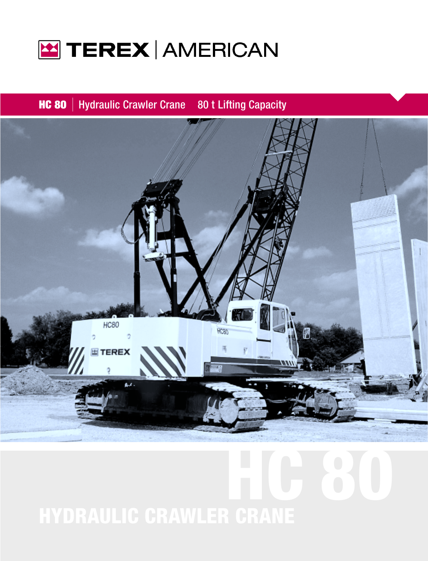

**HC 80** | Hydraulic Crawler Crane 80 t Lifting Capacity



# HC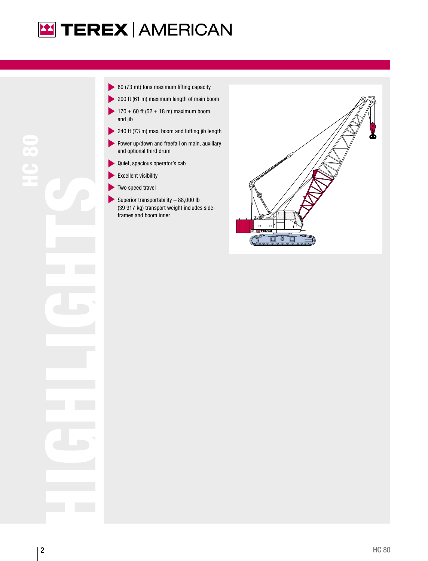

HIGHLIGHTS<br>HIGHLIGHTS

- 80 (73 mt) tons maximum lifting capacity
- 200 ft (61 m) maximum length of main boom
- $170 + 60$  ft (52 + 18 m) maximum boom and jib
- 240 ft (73 m) max. boom and luffing jib length
- Power up/down and freefall on main, auxiliary and optional third drum
- Quiet, spacious operator's cab
- Excellent visibility  $\blacktriangleright$
- Two speed travel
- Superior transportability  $-88,000$  lb (39 917 kg) transport weight includes sideframes and boom inner

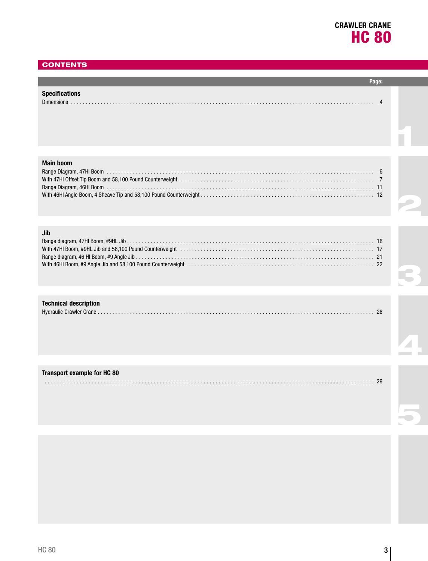## **CONTENTS**

| Snecificatio |  |
|--------------|--|
|              |  |

#### **Main boom**

## **Jib**

| ----                                                                                                                                                                                                                           |  |
|--------------------------------------------------------------------------------------------------------------------------------------------------------------------------------------------------------------------------------|--|
|                                                                                                                                                                                                                                |  |
| With 47HI Boom, #9HL Jib and 58,100 Pound Counterweight (and the content of the content of the content of the content of the content of the content of the content of the content of the content of the content of the content |  |
|                                                                                                                                                                                                                                |  |
|                                                                                                                                                                                                                                |  |

## **Technical description**

## **Transport example for HC 80**

| וו מוואטטו ניכגמוווטוס וטו ווט טט |    |
|-----------------------------------|----|
|                                   | ንዐ |

5

4

1

2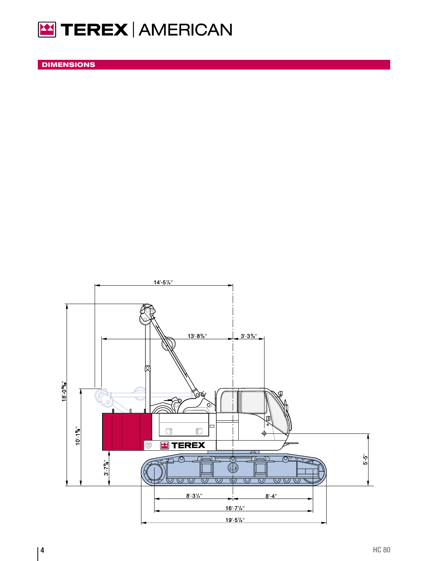

DIMENSIONS

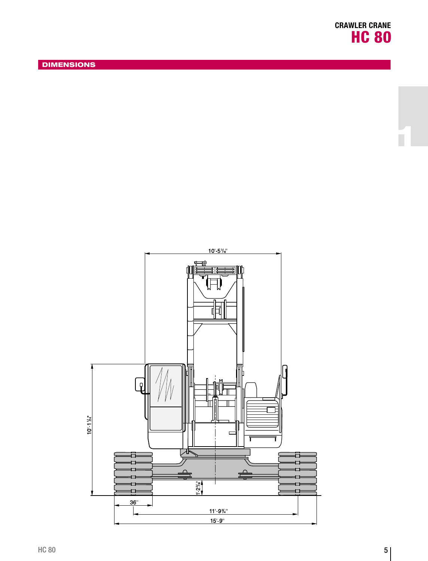

1

**DIMENSIONS** 

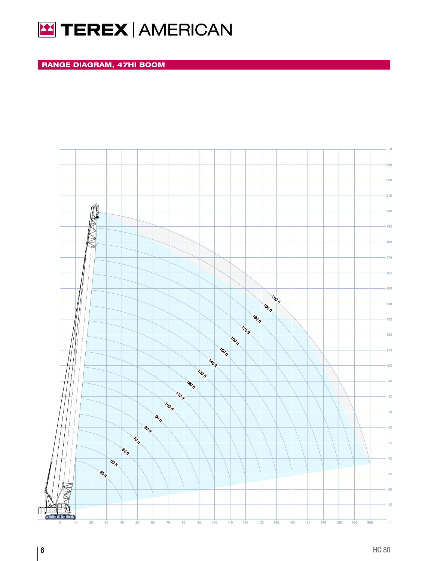

 $\hat{\boldsymbol{\epsilon}}$ 

RANGE DIAGRAM, 47HI BOOM

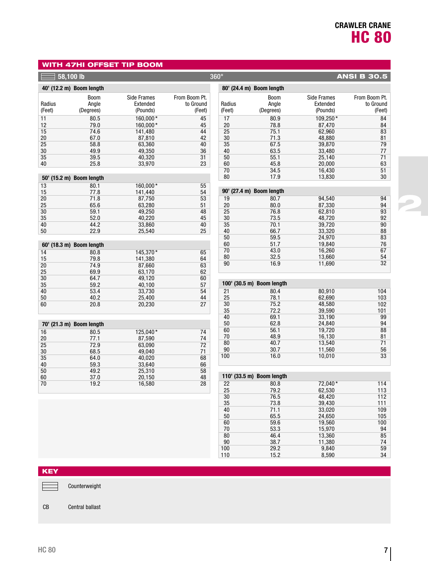2

## WITH 47HI OFFSET TIP BOOM

|          | $58,100$ lb                    |                    |               | $360^\circ$ |                           |                  | <b>ANSI B 30.5</b> |
|----------|--------------------------------|--------------------|---------------|-------------|---------------------------|------------------|--------------------|
|          | 40' (12.2 m) Boom length       |                    |               |             | 80' (24.4 m) Boom length  |                  |                    |
|          | <b>Boom</b>                    | <b>Side Frames</b> | From Boom Pt. |             | <b>Boom</b>               | Side Frames      | From Boom Pt.      |
| Radius   | Angle                          | Extended           | to Ground     | Radius      | Angle                     | Extended         | to Ground          |
| (Feet)   | (Degrees)                      | (Pounds)           | (Feet)        | (Feet)      | (Degrees)                 | (Pounds)         | (Feet)             |
| 11       | 80.5                           | 160.000*           | 45            | 17          | 80.9                      | 109.250*         | 84                 |
| 12       | 79.0                           | 160,000*           | 45            | 20          | 78.8                      | 87,470           | 84                 |
| 15       | 74.6                           | 141,480            | 44            | 25          | 75.1                      | 62,960           | 83                 |
| 20       | 67.0                           | 87,810             | 42            | 30          | 71.3                      | 48,880           | 81                 |
| 25       | 58.8                           | 63,360             | 40            | 35          | 67.5                      | 39,870           | 79                 |
| 30       | 49.9                           | 49,350             | 36            | 40          | 63.5                      | 33,480           | 77                 |
| 35       | 39.5                           | 40,320             | 31            | 50          | 55.1                      | 25,140           | 71                 |
| 40       | 25.8                           | 33,970             | 23            | 60          | 45.8                      | 20,000           | 63                 |
|          |                                |                    |               | 70          | 34.5                      | 16,430           | 51                 |
| 50'      | (15.2 m) Boom length           |                    |               | 80          | 17.9                      | 13,830           | 30                 |
| 13       | 80.1                           | 160,000*           | 55            |             |                           |                  |                    |
| 15       | 77.8                           | 141,440            | 54            | 90'         | (27.4 m) Boom length      |                  |                    |
| 20       | 71.8                           | 87,750             | 53            | 19          | 80.7                      | 94.540           | 94                 |
| 25       | 65.6                           | 63,280             | 51            | 20          | 80.0                      | 87,330           | 94                 |
| 30       | 59.1                           | 49,250             | 48            | 25          | 76.8                      | 62,810           | 93                 |
| 35       | 52.0                           | 40,220             | 45            | 30          | 73.5                      | 48,720           | 92                 |
| 40       | 44.2                           | 33,860             | 40            | 35          | 70.1                      | 39,720           | 90                 |
| 50       | 22.9                           | 25,540             | 25            | 40          | 66.7                      | 33,320           | 88                 |
|          |                                |                    |               | 50<br>60    | 59.5<br>51.7              | 24,970<br>19.840 | 83                 |
| 60'      | $(18.3 \text{ m})$ Boom length |                    |               | 70          | 43.0                      | 16,260           | 76<br>67           |
| 14       | 80.8                           | 145,370*           | 65            | 80          | 32.5                      | 13,660           | 54                 |
| 15       | 79.8                           | 141,380            | 64            | 90          | 16.9                      | 11,690           | 32                 |
| 20       | 74.9                           | 87,660             | 63            |             |                           |                  |                    |
| 25       | 69.9                           | 63,170             | 62            |             |                           |                  |                    |
| 30<br>35 | 64.7<br>59.2                   | 49,120<br>40,100   | 60<br>57      |             | 100' (30.5 m) Boom length |                  |                    |
| 40       | 53.4                           | 33,730             | 54            | 21          | 80.4                      | 80.910           | 104                |
| 50       | 40.2                           | 25,400             | 44            | 25          | 78.1                      | 62,690           | 103                |
| 60       | 20.8                           | 20,230             | 27            | 30          | 75.2                      | 48,580           | 102                |
|          |                                |                    |               | 35          | 72.2                      | 39,590           | 101                |
|          |                                |                    |               | 40          | 69.1                      | 33,190           | 99                 |
| 70'      | (21.3 m) Boom length           |                    |               | 50          | 62.8                      | 24,840           | 94                 |
| 16       | 80.5                           | 125,040*           | 74            | 60          | 56.1                      | 19,720           | 88                 |
| 20       | 77.1                           | 87,590             | 74            | 70          | 48.9                      | 16,130           | 81                 |
| 25       | 72.9                           | 63,090             | 72            | 80          | 40.7                      | 13,540           | 71                 |
| 30       | 68.5                           | 49,040             | 71            | 90          | 30.7                      | 11,560           | 56                 |
| 35       | 64.0                           | 40,020             | 68            | 100         | 16.0                      | 10,010           | 33                 |
| 40       | 59.3                           | 33,640             | 66            |             |                           |                  |                    |
| 50       | 49.2                           | 25,310             | 58            |             |                           |                  |                    |
| 60       | 37.0                           | 20,150             | 48            |             | 110' (33.5 m) Boom length |                  |                    |
| 70       | 19.2                           | 16,580             | 28            | 22          | 80.8                      | 72,040*          | 114                |
|          |                                |                    |               | 25          | 79.2                      | 62,530           | 113                |
|          |                                |                    |               | 30          | 76.5                      | 48,420           | 112                |
|          |                                |                    |               | 35          | 73.8                      | 39,430           | 111                |

 $71.1$ 65.5 59.6 53.3 46.4 38.7 29.2 15.2

33,020 24,650 19,560 15,970 13,360 11,380 9,840 8,590

KEY

 $\qquad \qquad \qquad \qquad \qquad$ Counterweight

## CB Central ballast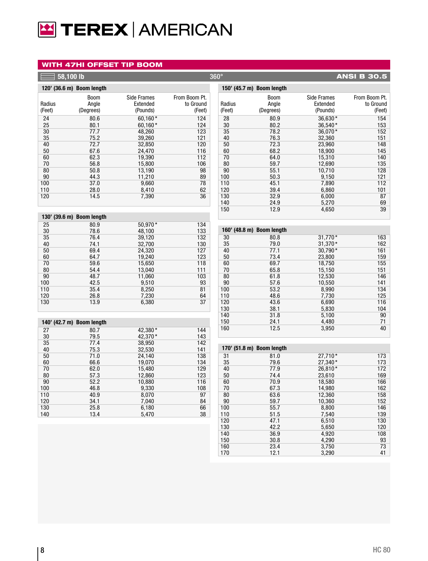# **E TEREX AMERICAN**

## WITH 47HI OFFSET TIP BOOM

| 58,100 lb  |                           |                    |               | 360°<br><b>ANSI B 30.5</b> |                           |                    |               |  |
|------------|---------------------------|--------------------|---------------|----------------------------|---------------------------|--------------------|---------------|--|
|            | 120' (36.6 m) Boom length |                    |               |                            | 150' (45.7 m) Boom length |                    |               |  |
|            | <b>Boom</b>               | <b>Side Frames</b> | From Boom Pt. |                            | <b>Boom</b>               | <b>Side Frames</b> | From Boom Pt. |  |
| Radius     | Angle                     | Extended           | to Ground     | Radius                     | Angle                     | Extended           | to Ground     |  |
| (Feet)     | (Degrees)                 | (Pounds)           | (Feet)        | (Feet)                     | (Degrees)                 | (Pounds)           | (Feet)        |  |
| 24         | 80.6                      | 60.160*            | 124           | 28                         | 80.9                      | 36,630*            | 154           |  |
| 25         | 80.1                      | 60,160*            | 124           | 30                         | 80.2                      | 36,540*            | 153           |  |
| 30         | 77.7                      | 48,260             | 123           | 35                         | 78.2                      | 36,070*            | 152           |  |
| 35         | 75.2                      | 39,260             | 121           | 40                         | 76.3                      | 32,360             | 151           |  |
| 40         | 72.7                      | 32,850             | 120           | 50                         | 72.3                      | 23,960             | 148           |  |
| 50         | 67.6                      | 24,470             | 116           | 60                         | 68.2                      | 18,900             | 145           |  |
| 60         | 62.3                      | 19,390             | 112           | 70                         | 64.0                      | 15,310             | 140           |  |
| 70         | 56.8                      | 15,800             | 106           | 80                         | 59.7                      | 12,690             | 135           |  |
| 80         | 50.8                      | 13,190             | 98            | 90                         | 55.1                      | 10,710             | 128           |  |
| 90<br>100  | 44.3<br>37.0              | 11,210<br>9,660    | 89<br>78      | 100<br>110                 | 50.3<br>45.1              | 9,150<br>7,890     | 121<br>112    |  |
| 110        | 28.0                      | 8,410              | 62            | 120                        | 39.4                      | 6,860              | 101           |  |
| 120        | 14.5                      | 7,390              | 36            | 130                        | 32.9                      | 6,000              | 87            |  |
|            |                           |                    |               | 140                        | 24.9                      | 5,270              | 69            |  |
|            |                           |                    |               | 150                        | 12.9                      | 4,650              | 39            |  |
|            | 130' (39.6 m) Boom length |                    |               |                            |                           |                    |               |  |
| 25         | 80.9                      | 50,970*            | 134           |                            |                           |                    |               |  |
| 30         | 78.6                      | 48,100             | 133           |                            | 160' (48.8 m) Boom length |                    |               |  |
| 35         | 76.4                      | 39,120             | 132           | 30                         | 80.8                      | $31,770*$          | 163           |  |
| 40         | 74.1                      | 32,700             | 130           | 35                         | 79.0                      | $31,370*$          | 162           |  |
| 50         | 69.4                      | 24,320             | 127           | 40                         | 77.1                      | 30,790*            | 161           |  |
| 60         | 64.7                      | 19,240             | 123           | 50                         | 73.4                      | 23,800             | 159           |  |
| 70         | 59.6                      | 15,650             | 118           | 60                         | 69.7                      | 18,750             | 155           |  |
| 80         | 54.4                      | 13,040             | 111           | 70                         | 65.8                      | 15,150             | 151           |  |
| 90         | 48.7                      | 11,060             | 103           | 80                         | 61.8                      | 12,530             | 146           |  |
| 100        | 42.5                      | 9,510              | 93            | 90                         | 57.6                      | 10,550             | 141<br>134    |  |
| 110<br>120 | 35.4<br>26.8              | 8,250<br>7,230     | 81<br>64      | 100<br>110                 | 53.2<br>48.6              | 8,990<br>7,730     | 125           |  |
| 130        | 13.9                      | 6,380              | 37            | 120                        | 43.6                      | 6,690              | 116           |  |
|            |                           |                    |               | 130                        | 38.1                      | 5,830              | 104           |  |
|            |                           |                    |               | 140                        | 31.8                      | 5,100              | 90            |  |
|            | 140' (42.7 m) Boom length |                    |               | 150                        | 24.1                      | 4,480              | 71            |  |
| 27         | 80.7                      | 42,380*            | 144           | 160                        | 12.5                      | 3,950              | 40            |  |
| 30         | 79.5                      | 42,370*            | 143           |                            |                           |                    |               |  |
| 35         | 77.4                      | 38,950             | 142           |                            |                           |                    |               |  |
| 40         | 75.3                      | 32,530             | 141           |                            | 170' (51.8 m) Boom length |                    |               |  |
| 50         | 71.0                      | 24,140             | 138           | 31                         | 81.0                      | $27.710*$          | 173           |  |
| 60         | 66.6                      | 19,070             | 134           | 35                         | 79.6                      | 27,340*            | 173           |  |
| 70         | 62.0                      | 15,480             | 129           | 40                         | 77.9                      | 26,810*            | 172           |  |
| 80         | 57.3                      | 12,860             | 123           | 50                         | 74.4                      | 23,610             | 169           |  |
| 90         | 52.2                      | 10,880             | 116           | 60                         | 70.9                      | 18,580             | 166           |  |
| 100        | 46.8                      | 9,330              | 108           | 70                         | 67.3                      | 14,980             | 162           |  |
| 110        | 40.9                      | 8,070              | 97            | 80                         | 63.6                      | 12,360             | 158           |  |
| 120        | 34.1                      | 7,040              | 84            | 90                         | 59.7                      | 10,360             | 152           |  |
| 130        | 25.8                      | 6,180              | 66            | 100                        | 55.7                      | 8,800              | 146           |  |
| 140        | 13.4                      | 5,470              | 38            | 110                        | 51.5                      | 7,540              | 139           |  |
|            |                           |                    |               | 120                        | 47.1                      | 6,510              | 130           |  |

42.2 36.9 30.8 23.4 12.1

5,650 4,920 4,290 3,750 3,290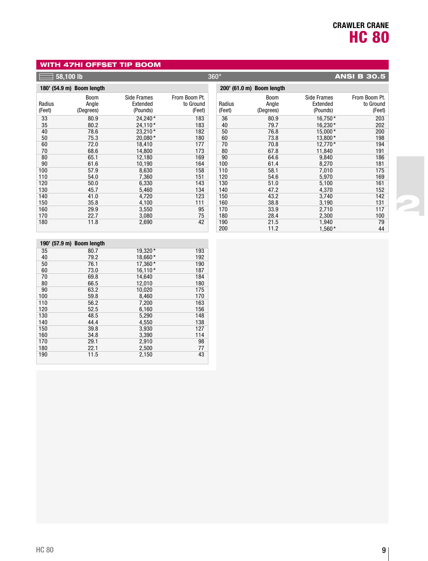2

## WITH 47HI OFFSET TIP BOOM

|        | 58,100 lb                 |                    |               | $360^\circ$ |                           |                    | <b>ANSI B 30.5</b> |
|--------|---------------------------|--------------------|---------------|-------------|---------------------------|--------------------|--------------------|
|        | 180' (54.9 m) Boom length |                    |               |             | 200' (61.0 m) Boom length |                    |                    |
|        | <b>Boom</b>               | <b>Side Frames</b> | From Boom Pt. |             | <b>Boom</b>               | <b>Side Frames</b> | From Boom Pt.      |
| Radius | Angle                     | Extended           | to Ground     | Radius      | Angle                     | Extended           | to Ground          |
| (Feet) | (Degrees)                 | (Pounds)           | (Feet)        | (Feet)      | (Degrees)                 | (Pounds)           | (Feet)             |
| 33     | 80.9                      | 24,240*            | 183           | 36          | 80.9                      | 16.750*            | 203                |
| 35     | 80.2                      | 24,110*            | 183           | 40          | 79.7                      | 16,230*            | 202                |
| 40     | 78.6                      | 23,210*            | 182           | 50          | 76.8                      | $15,000*$          | 200                |
| 50     | 75.3                      | 20,080*            | 180           | 60          | 73.8                      | 13,800*            | 198                |
| 60     | 72.0                      | 18,410             | 177           | 70          | 70.8                      | 12,770*            | 194                |
| 70     | 68.6                      | 14,800             | 173           | 80          | 67.8                      | 11,840             | 191                |
| 80     | 65.1                      | 12,180             | 169           | 90          | 64.6                      | 9,840              | 186                |
| 90     | 61.6                      | 10,190             | 164           | 100         | 61.4                      | 8,270              | 181                |
| 100    | 57.9                      | 8,630              | 158           | 110         | 58.1                      | 7,010              | 175                |
| 110    | 54.0                      | 7,360              | 151           | 120         | 54.6                      | 5,970              | 169                |
| 120    | 50.0                      | 6,330              | 143           | 130         | 51.0                      | 5,100              | 161                |
| 130    | 45.7                      | 5,460              | 134           | 140         | 47.2                      | 4,370              | 152                |
| 140    | 41.0                      | 4,720              | 123           | 150         | 43.2                      | 3,740              | 142                |
| 150    | 35.8                      | 4,100              | 111           | 160         | 38.8                      | 3,190              | 131                |
| 160    | 29.9                      | 3,550              | 95            | 170         | 33.9                      | 2,710              | 117                |
| 170    | 22.7                      | 3,080              | 75            | 180         | 28.4                      | 2,300              | 100                |
| 180    | 11.8                      | 2,690              | 42            | 190         | 21.5                      | 1,940              | 79                 |
|        |                           |                    |               | 200         | 11.2                      | $1,560*$           | 44                 |
|        |                           |                    |               |             |                           |                    |                    |
|        | 190' (57.9 m) Boom length |                    |               |             |                           |                    |                    |
| 35     | 80.7                      | 19,320*            | 193           |             |                           |                    |                    |
| 40     | 79.2                      | 18,660*            | 192           |             |                           |                    |                    |
| 50     | 76.1                      | 17,360*            | 190           |             |                           |                    |                    |
| 60     | 73.0                      | $16,110*$          | 187           |             |                           |                    |                    |
| 70     | 69.8                      | 14,640             | 184           |             |                           |                    |                    |
| 80     | 66.5                      | 12,010             | 180           |             |                           |                    |                    |
| 90     | 63.2                      | 10,020             | 175           |             |                           |                    |                    |

59.8 56.2 52.5 48.5 44.4 39.8 34.8 29.1 22.1 11.5

8,460 7,200 6,160 5,290 4,550 3,930 3,390 2,910 2,500  $2,150$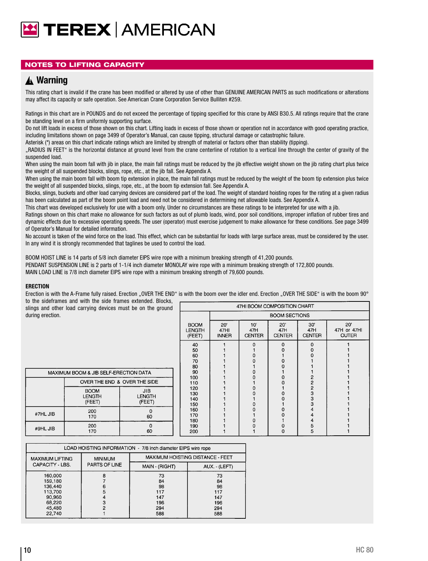# **E TEREX AMERICAN**

## NOTES TO LIFTING CAPACITY

## **Warning** ▲**!**

This rating chart is invalid if the crane has been modified or altered by use of other than GENUINE AMERICAN PARTS as such modifications or alterations may affect its capacity or safe operation. See American Crane Corporation Service Bulliten #259.

Ratings in this chart are in POUNDS and do not exceed the percentage of tipping specified for this crane by ANSI B30.5. All ratings require that the crane be standing level on a firm uniformly supporting surface.

Do not lift loads in excess of those shown on this chart. Lifting loads in excess of those shown or operation not in accordance with good operating practice, including limitations shown on page 3499 of Operator's Manual, can cause tipping, structural damage or catastrophic failure.

Asterisk (\*) areas on this chart indicate ratings which are limited by strength of material or factors other than stability (tipping).

"RADIUS IN FEET" is the horizontal distance at ground level from the crane centerline of rotation to a vertical line through the center of gravity of the suspended load.

When using the main boom fall with jib in place, the main fall ratings must be reduced by the jib effective weight shown on the jib rating chart plus twice the weight of all suspended blocks, slings, rope, etc., at the jib fall. See Appendix A.

When using the main boom fall with boom tip extension in place, the main fall ratings must be reduced by the weight of the boom tip extension plus twice the weight of all suspended blocks, slings, rope, etc., at the boom tip extension fall. See Appendix A.

Blocks, slings, buckets and other load carrying devices are considered part of the load. The weight of standard hoisting ropes for the rating at a given radius has been calculated as part of the boom point load and need not be considered in determining net allowable loads. See Appendix A.

This chart was developed exclusively for use with a boom only. Under no circumstances are these ratings to be interpreted for use with a jib.

Ratings shown on this chart make no allowance for such factors as out of plumb loads, wind, poor soil conditions, improper inflation of rubber tires and dynamic effects due to excessive operating speeds. The user (operator) must exercise judgement to make allowance for these conditions. See page 3499 of Operator's Manual for detailed information.

No account is taken of the wind force on the load. This effect, which can be substantial for loads with large surface areas, must be considered by the user. In any wind it is strongly recommended that taglines be used to control the load.

BOOM HOIST LINE is 14 parts of 5/8 inch diameter EIPS wire rope with a minimum breaking strength of 41,200 pounds. PENDANT SUSPENSION LINE is 2 parts of 1-1/4 inch diameter MONOLAY wire rope with a minimum breaking strength of 172,800 pounds. MAIN LOAD LINE is 7/8 inch diameter EIPS wire rope with a minimum breaking strength of 79,600 pounds.

#### **ERECTION**

Erection is with the A-Frame fully raised. Erection "OVER THE END" is with the boom over the idler end. Erection "OVER THE SIDE" is with the boom 90° to the sideframes and with the side frames extended. Blocks,

| slings and other load carrying devices must be on the ground | 47HI BOOM COMPOSITION CHART            |                                 |                                        |                             |                             |                                      |                               |                                    |
|--------------------------------------------------------------|----------------------------------------|---------------------------------|----------------------------------------|-----------------------------|-----------------------------|--------------------------------------|-------------------------------|------------------------------------|
| during erection.                                             |                                        |                                 |                                        |                             | <b>BOOM SECTIONS</b>        |                                      |                               |                                    |
|                                                              |                                        |                                 | <b>BOOM</b><br><b>LENGTH</b><br>(FEET) | 20"<br>47HI<br><b>INNER</b> | 10'<br>47H<br><b>CENTER</b> | $20^{\circ}$<br>47H<br><b>CENTER</b> | 30'<br>47H<br><b>CENTER</b>   | 20'<br>47H or 47HI<br><b>OUTER</b> |
|                                                              |                                        |                                 |                                        |                             | $\Omega$<br>o               | $\Omega$                             | $\Omega$                      |                                    |
| MAXIMUM BOOM & JIB SELF-ERECTION DATA                        | 80<br>90<br>100                        |                                 |                                        |                             |                             |                                      |                               |                                    |
|                                                              | OVER THE END & OVER THE SIDE           |                                 | 110                                    |                             |                             |                                      | 2                             |                                    |
|                                                              | <b>BOOM</b><br><b>LENGTH</b><br>(FEET) | JIB.<br><b>LENGTH</b><br>(FEET) | 120<br>130<br>140<br>150               |                             | Ω                           |                                      | $\overline{2}$<br>3<br>3<br>3 |                                    |
| #7HL JIB                                                     | 200<br>170                             | 60                              | 160<br>170<br>180                      |                             |                             |                                      |                               |                                    |
| #9HL JIB                                                     | 200<br>170                             | $\Omega$<br>60                  | 190<br>200                             |                             |                             |                                      | 5                             |                                    |

| LOAD HOISTING INFORMATION - 7/8 inch diameter EIPS wire rope |                |                                     |                                     |  |  |  |  |
|--------------------------------------------------------------|----------------|-------------------------------------|-------------------------------------|--|--|--|--|
| <b>MAXIMUM LIFTING</b>                                       | <b>MINIMUM</b> | MAXIMUM HOISTING DISTANCE - FEET    |                                     |  |  |  |  |
| CAPACITY - LBS.                                              | PARTS OF LINE  | MAIN - (RIGHT)                      | AUX. - (LEFT)                       |  |  |  |  |
| 160,000<br>159.180<br>136,440<br>113.700<br>90,960<br>68.220 |                | 73<br>84<br>98<br>117<br>147<br>196 | 73<br>84<br>98<br>117<br>147<br>196 |  |  |  |  |
| 45,480<br>22,740                                             | ◠              | 294<br>588                          | 294<br>588                          |  |  |  |  |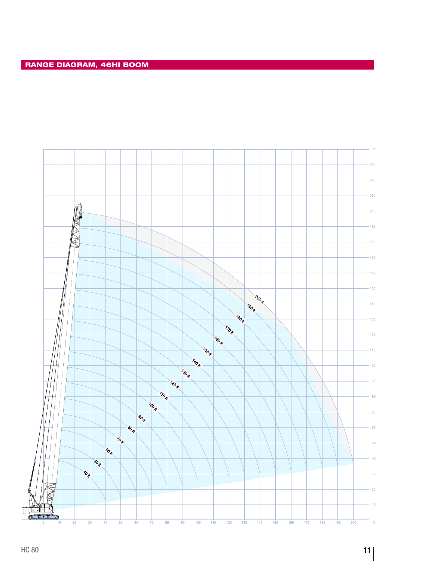$\hat{\theta}$ 

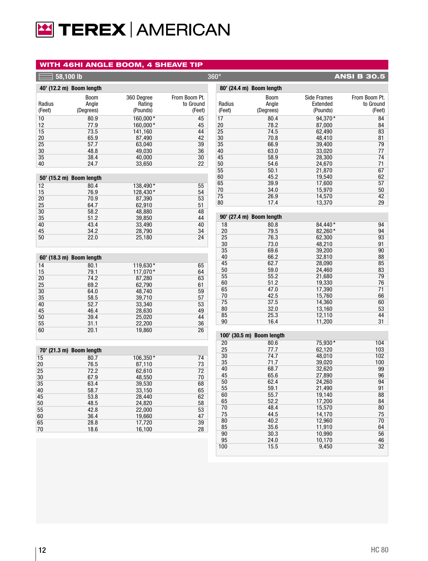# **E TEREX | AMERICAN**

### WITH 46HI ANGLE BOOM, 4 SHEAVE TIP

| 58,100 lb        |                                   |                                  |                                      | $360^\circ$      |                            |                                            | <b>ANSI B 30.5</b>                   |
|------------------|-----------------------------------|----------------------------------|--------------------------------------|------------------|----------------------------|--------------------------------------------|--------------------------------------|
|                  | 40' (12.2 m) Boom length          |                                  |                                      |                  | 80' (24.4 m) Boom length   |                                            |                                      |
| Radius<br>(Feet) | <b>Boom</b><br>Angle<br>(Degrees) | 360 Degree<br>Rating<br>(Pounds) | From Boom Pt.<br>to Ground<br>(Feet) | Radius<br>(Feet) | Boom<br>Angle<br>(Degrees) | <b>Side Frames</b><br>Extended<br>(Pounds) | From Boom Pt.<br>to Ground<br>(Feet) |
| 10               | 80.9                              | 160.000*                         | 45                                   | 17               | 80.4                       | 94,370*                                    | 84                                   |
| 12               | 77.9                              | 160,000*                         | 45                                   | 20               | 78.2                       | 87,000                                     | 84                                   |
| 15               | 73.5                              | 141,160                          | 44                                   | 25               | 74.5                       | 62,490                                     | 83                                   |
| 20               | 65.9                              | 87,490                           | 42                                   | 30               | 70.8                       | 48,410                                     | 81                                   |
| 25<br>30         | 57.7<br>48.8                      | 63,040<br>49.030                 | 39<br>36                             | 35<br>40         | 66.9                       | 39,400<br>33,020                           | 79<br>77                             |
| 35               | 38.4                              | 40,000                           | 30                                   | 45               | 63.0<br>58.9               | 28,300                                     | 74                                   |
| 40               | 24.7                              | 33,650                           | 22                                   | 50               | 54.6                       | 24,670                                     | 71                                   |
|                  |                                   |                                  |                                      | 55               | 50.1                       | 21,870                                     | 67                                   |
|                  | 50' (15.2 m) Boom length          |                                  |                                      | 60               | 45.2                       | 19,540                                     | 62                                   |
|                  |                                   |                                  |                                      | 65               | 39.9                       | 17,600                                     | 57                                   |
| 12<br>15         | 80.4<br>76.9                      | 138,490*                         | 55<br>54                             | 70               | 34.0                       | 15,970                                     | 50                                   |
| 20               | 70.9                              | 128,430*<br>87,390               | 53                                   | 75               | 26.9                       | 14,570                                     | 42                                   |
| 25               | 64.7                              | 62,910                           | 51                                   | 80               | 17.4                       | 13,370                                     | 29                                   |
| 30               | 58.2                              | 48,880                           | 48                                   |                  |                            |                                            |                                      |
| 35               | 51.2                              | 39,850                           | 44                                   |                  | 90' (27.4 m) Boom length   |                                            |                                      |
| 40               | 43.4                              | 33,490                           | 40                                   | 18               | 80.8                       | 84.440*                                    | 94                                   |
| 45               | 34.2                              | 28,790                           | 34                                   | 20               | 79.5                       | 82,260*                                    | 94                                   |
| 50               | 22.0                              | 25,180                           | 24                                   | 25               | 76.3                       | 62,300                                     | 93                                   |
|                  |                                   |                                  |                                      | 30               | 73.0                       | 48,210                                     | 91                                   |
|                  |                                   |                                  |                                      | 35               | 69.6                       | 39,200                                     | 90                                   |
|                  | 60' (18.3 m) Boom length          |                                  |                                      | 40               | 66.2                       | 32,810                                     | 88                                   |
| 14               | 80.1                              | 119,630*                         | 65                                   | 45               | 62.7                       | 28,090                                     | 85                                   |
| 15               | 79.1                              | 117,070*                         | 64                                   | 50               | 59.0                       | 24,460                                     | 83                                   |
| 20               | 74.2                              | 87,280                           | 63                                   | 55               | 55.2                       | 21,680                                     | 79                                   |
| 25               | 69.2                              | 62,790                           | 61                                   | 60               | 51.2                       | 19,330                                     | 76                                   |
| 30               | 64.0                              | 48,740                           | 59                                   | 65               | 47.0                       | 17,390                                     | 71                                   |
| 35               | 58.5                              | 39,710                           | 57                                   | 70               | 42.5                       | 15,760                                     | 66                                   |
| 40               | 52.7                              | 33,340                           | 53                                   | 75               | 37.5                       | 14,360                                     | 60                                   |
| 45               | 46.4                              | 28,630                           | 49                                   | 80<br>85         | 32.0<br>25.3               | 13,160<br>12,110                           | 53<br>44                             |
| 50               | 39.4                              | 25,020                           | 44                                   | 90               | 16.4                       | 11,200                                     | 31                                   |
| 55               | 31.1                              | 22,200                           | 36                                   |                  |                            |                                            |                                      |
| 60               | 20.1                              | 19,860                           | 26                                   |                  | 100' (30.5 m) Boom length  |                                            |                                      |
|                  |                                   |                                  |                                      | 20               | 80.6                       | 75,930*                                    | 104                                  |
|                  | 70' (21.3 m) Boom length          |                                  |                                      | 25               | 77.7                       | 62,120                                     | 103                                  |
| 15               | 80.7                              | 106,350*                         | 74                                   | 30               | 74.7                       | 48,010                                     | 102                                  |
| 20               | 76.5                              | 87,110                           | 73                                   | 35               | 71.7                       | 39.020                                     | 100                                  |
| 25               | 72.2                              | 62,610                           | 72                                   | 40               | 68.7                       | 32,620                                     | 99                                   |
| 30               | 67.9                              | 48,550                           | 70                                   | 45               | 65.6                       | 27,890                                     | 96                                   |
| 35               | 63.4                              | 39,530                           | 68                                   | 50               | 62.4                       | 24,260                                     | 94                                   |
| 40               | 58.7                              | 33,150                           | 65                                   | 55               | 59.1                       | 21,490                                     | 91                                   |
| 45               | 53.8                              | 28,440                           | 62                                   | 60               | 55.7                       | 19.140                                     | 88                                   |
| 50               | 48.5                              | 24,820                           | 58                                   | 65               | 52.2                       | 17,200                                     | 84                                   |
| 55               | 42.8                              | 22,000                           | 53                                   | 70<br>75         | 48.4<br>44.5               | 15,570<br>14,170                           | 80<br>75                             |
| 60               | 36.4                              | 19,660                           | 47                                   | 80               | 40.2                       | 12,960                                     | 70                                   |
| 65               | 28.8                              | 17,720                           | 39                                   | 85               | 35.6                       | 11,910                                     | 64                                   |
| 70               | 18.6                              | 16,100                           | 28                                   | 90               | 30.3                       | 10,990                                     | 56                                   |
|                  |                                   |                                  |                                      | 95               | 24.0                       | 10,170                                     | 46                                   |
|                  |                                   |                                  |                                      |                  |                            |                                            |                                      |

100

15.5

9,450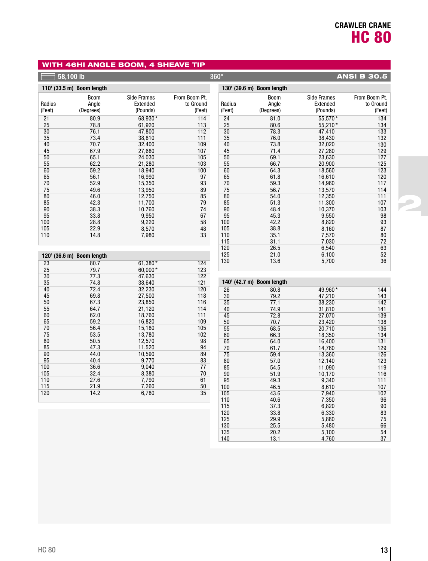2

## WITH 46HI ANGLE BOOM, 4 SHEAVE TIP

|                   | $58,100$ lb                |                                     |                                      | $360^\circ$       |                                   |                                            | <b>ANSI B 30.5</b>                   |
|-------------------|----------------------------|-------------------------------------|--------------------------------------|-------------------|-----------------------------------|--------------------------------------------|--------------------------------------|
|                   | 110' (33.5 m) Boom length  |                                     |                                      |                   | 130' (39.6 m) Boom length         |                                            |                                      |
| Radius<br>(Feet)  | Boom<br>Angle<br>(Degrees) | Side Frames<br>Extended<br>(Pounds) | From Boom Pt.<br>to Ground<br>(Feet) | Radius<br>(Feet)  | <b>Boom</b><br>Angle<br>(Degrees) | <b>Side Frames</b><br>Extended<br>(Pounds) | From Boom Pt.<br>to Ground<br>(Feet) |
| 21                | 80.9                       | 68,930*                             | 114                                  | 24                | 81.0                              | 55,570*                                    | 134                                  |
| 25                | 78.8                       | 61,920                              | 113                                  | 25                | 80.6                              | 55,210*                                    | 134                                  |
| 30                | 76.1                       | 47,800                              | 112                                  | 30                | 78.3                              | 47,410                                     | 133                                  |
| 35                | 73.4                       | 38,810                              | 111                                  | 35                | 76.0                              | 38,430                                     | 132                                  |
| 40                | 70.7                       | 32,400                              | 109                                  | 40                | 73.8                              | 32,020                                     | 130                                  |
| 45                | 67.9                       | 27,680                              | 107                                  | 45                | 71.4                              | 27,280                                     | 129                                  |
| 50                | 65.1                       | 24,030                              | 105                                  | 50                | 69.1                              | 23,630                                     | 127                                  |
| 55                | 62.2                       | 21,280                              | 103                                  | 55                | 66.7                              | 20,900                                     | 125                                  |
| 60                | 59.2                       | 18,940                              | 100                                  | 60                | 64.3                              | 18,560                                     | 123                                  |
| 65                | 56.1                       | 16,990                              | 97                                   | 65                | 61.8                              | 16,610                                     | 120                                  |
| 70                | 52.9                       | 15,350                              | 93                                   | 70                | 59.3                              | 14,960                                     | 117                                  |
| 75                | 49.6                       | 13,950                              | 89                                   | 75                | 56.7                              | 13,570                                     | 114                                  |
| 80                | 46.0                       | 12,750                              | 85                                   | 80                | 54.0                              | 12,350                                     | 111                                  |
| 85                | 42.3                       | 11,700                              | 79                                   | 85                | 51.3                              | 11,300                                     | 107                                  |
| 90                | 38.3                       | 10,760                              | 74                                   | 90                | 48.4                              | 10,370                                     | 103                                  |
| 95                | 33.8                       | 9,950                               | 67                                   | 95                | 45.3                              | 9,550                                      | 98                                   |
| 100               | 28.8                       | 9,220                               | 58                                   | 100               | 42.2                              | 8,820                                      | 93                                   |
| 105               | 22.9                       | 8,570                               | 48                                   | 105               | 38.8                              | 8,160                                      | 87                                   |
| 110               | 14.8                       | 7,980                               | 33                                   | 110<br>115        | 35.1<br>31.1                      | 7,570<br>7,030                             | 80<br>72                             |
|                   | 120' (36.6 m) Boom length  |                                     |                                      | 120<br>125        | 26.5<br>21.0                      | 6,540<br>6,100                             | 63<br>52                             |
| 23<br>25          | 80.7<br>79.7               | 61,380*<br>60,000*                  | 124<br>123                           | 130               | 13.6                              | 5,700                                      | 36                                   |
| 30<br>35          | 77.3<br>74.8               | 47,630<br>38,640                    | 122<br>121                           |                   | 140' (42.7 m) Boom length         |                                            |                                      |
| 40                | 72.4                       | 32,230                              | 120                                  | 26                | 80.8                              | 49,960*                                    | 144                                  |
| 45                | 69.8                       | 27,500                              | 118                                  | 30                | 79.2                              | 47,210                                     | 143                                  |
| 50<br>55<br>60    | 67.3<br>64.7<br>62.0       | 23,850<br>21,120<br>18,760          | 116<br>114<br>111                    | 35<br>40<br>45    | 77.1<br>74.9                      | 38,230<br>31,810                           | 142<br>141<br>139                    |
| 65<br>70          | 59.2<br>56.4               | 16,820<br>15,180                    | 109<br>105                           | 50<br>55          | 72.8<br>70.7<br>68.5              | 27,070<br>23,420<br>20,710                 | 138<br>136                           |
| 75                | 53.5                       | 13,780                              | 102                                  | 60                | 66.3                              | 18,350                                     | 134                                  |
| 80                | 50.5                       | 12,570                              | 98                                   | 65                | 64.0                              | 16,400                                     | 131                                  |
| 85                | 47.3                       | 11,520                              | 94                                   | 70                | 61.7                              | 14,760                                     | 129                                  |
| 90                | 44.0                       | 10,590                              | 89                                   | 75                | 59.4                              | 13,360                                     | 126                                  |
| 95                | 40.4                       | 9.770                               | 83                                   | 80                | 57.0                              | 12,140                                     | 123                                  |
| 100               | 36.6                       | 9,040                               | 77                                   | 85                | 54.5                              | 11,090                                     | 119                                  |
| 105<br>110<br>115 | 32.4<br>27.6<br>21.9       | 8,380<br>7,790<br>7,260             | 70<br>61<br>50                       | 90<br>95          | 51.9<br>49.3                      | 10,170<br>9,340                            | 116<br>111                           |
| 120               | 14.2                       | 6,780                               | 35                                   | 100<br>105<br>110 | 46.5<br>43.6<br>40.6              | 8,610<br>7,940<br>7,350                    | 107<br>102<br>96                     |

37.3 33.8 29.9 25.5 20.2 13.1

6,820 6,330 5,880 5,480 5,100 4,760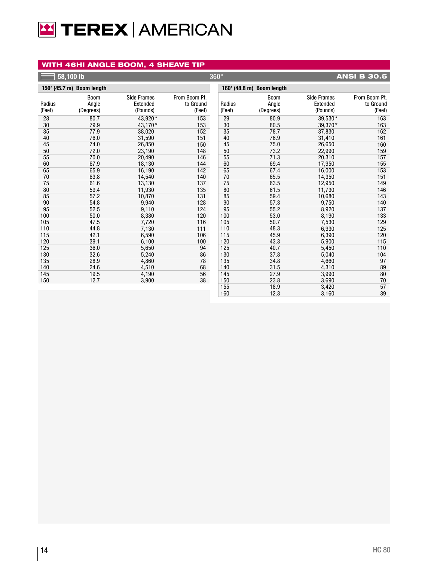# **E TEREX AMERICAN**

## WITH 46HI ANGLE BOOM, 4 SHEAVE TIP

|        | 58,100 <u>lb</u>          |                    |               | $360^\circ$ |                           |                    | <b>ANSI B 30.5</b> |
|--------|---------------------------|--------------------|---------------|-------------|---------------------------|--------------------|--------------------|
|        | 150' (45.7 m) Boom length |                    |               |             | 160' (48.8 m) Boom length |                    |                    |
|        | <b>Boom</b>               | <b>Side Frames</b> | From Boom Pt. |             | <b>Boom</b>               | <b>Side Frames</b> | From Boom Pt.      |
| Radius | Angle                     | Extended           | to Ground     | Radius      | Angle                     | Extended           | to Ground          |
| (Feet) | (Degrees)                 | (Pounds)           | (Feet)        | (Feet)      | (Degrees)                 | (Pounds)           | (Feet)             |
| 28     | 80.7                      | 43.920*            | 153           | 29          | 80.9                      | 39,530*            | 163                |
| 30     | 79.9                      | 43,170*            | 153           | 30          | 80.5                      | 39,370*            | 163                |
| 35     | 77.9                      | 38,020             | 152           | 35          | 78.7                      | 37,830             | 162                |
| 40     | 76.0                      | 31,590             | 151           | 40          | 76.9                      | 31,410             | 161                |
| 45     | 74.0                      | 26,850             | 150           | 45          | 75.0                      | 26,650             | 160                |
| 50     | 72.0                      | 23,190             | 148           | 50          | 73.2                      | 22,990             | 159                |
| 55     | 70.0                      | 20,490             | 146           | 55          | 71.3                      | 20,310             | 157                |
| 60     | 67.9                      | 18,130             | 144           | 60          | 69.4                      | 17,950             | 155                |
| 65     | 65.9                      | 16,190             | 142           | 65          | 67.4                      | 16,000             | 153                |
| 70     | 63.8                      | 14,540             | 140           | 70          | 65.5                      | 14,350             | 151                |
| 75     | 61.6                      | 13,130             | 137           | 75          | 63.5                      | 12,950             | 149                |
| 80     | 59.4                      | 11,930             | 135           | 80          | 61.5                      | 11,730             | 146                |
| 85     | 57.2                      | 10,870             | 131           | 85          | 59.4                      | 10,680             | 143                |
| 90     | 54.8                      | 9,940              | 128           | 90          | 57.3                      | 9,750              | 140                |
| 95     | 52.5                      | 9,110              | 124           | 95          | 55.2                      | 8,920              | 137                |
| 100    | 50.0                      | 8,380              | 120           | 100         | 53.0                      | 8,190              | 133                |
| 105    | 47.5                      | 7,720              | 116           | 105         | 50.7                      | 7,530              | 129                |
| 110    | 44.8                      | 7,130              | 111           | 110         | 48.3                      | 6,930              | 125                |
| 115    | 42.1                      | 6,590              | 106           | 115         | 45.9                      | 6,390              | 120                |
| 120    | 39.1                      | 6,100              | 100           | 120         | 43.3                      | 5,900              | 115                |
| 125    | 36.0                      | 5,650              | 94            | 125         | 40.7                      | 5,450              | 110                |
| 130    | 32.6                      | 5,240              | 86            | 130         | 37.8                      | 5,040              | 104                |
| 135    | 28.9                      | 4,860              | 78            | 135         | 34.8                      | 4,660              | 97                 |
| 140    | 24.6                      | 4,510              | 68            | 140         | 31.5                      | 4,310              | 89                 |
| 145    | 19.5                      | 4,190              | 56            | 145         | 27.9                      | 3,990              | 80                 |
| 150    | 12.7                      | 3,900              | 38            | 150         | 23.8                      | 3,690              | 70                 |
|        |                           |                    |               | 155         | 18.9                      | 3,420              | 57                 |
|        |                           |                    |               | 160         | 12.3                      | 3,160              | 39                 |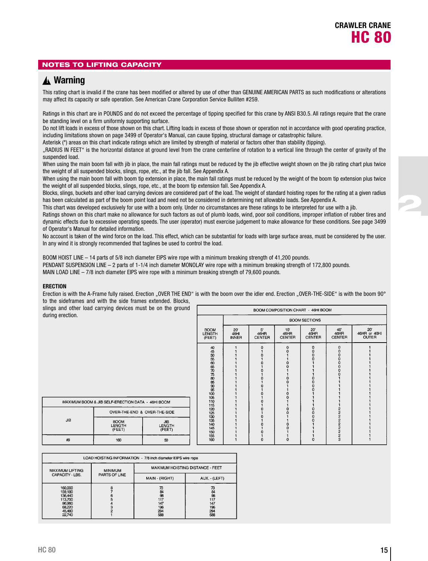2

## NOTES TO LIFTING CAPACITY

## **Warning** ▲**!**

This rating chart is invalid if the crane has been modified or altered by use of other than GENUINE AMERICAN PARTS as such modifications or alterations may affect its capacity or safe operation. See American Crane Corporation Service Bulliten #259.

Ratings in this chart are in POUNDS and do not exceed the percentage of tipping specified for this crane by ANSI B30.5. All ratings require that the crane be standing level on a firm uniformly supporting surface.

Do not lift loads in excess of those shown on this chart. Lifting loads in excess of those shown or operation not in accordance with good operating practice, including limitations shown on page 3499 of Operator's Manual, can cause tipping, structural damage or catastrophic failure.

Asterisk (\*) areas on this chart indicate ratings which are limited by strength of material or factors other than stability (tipping).

"RADIUS IN FEET" is the horizontal distance at ground level from the crane centerline of rotation to a vertical line through the center of gravity of the suspended load.

When using the main boom fall with jib in place, the main fall ratings must be reduced by the jib effective weight shown on the jib rating chart plus twice the weight of all suspended blocks, slings, rope, etc., at the jib fall. See Appendix A.

When using the main boom fall with boom tip extension in place, the main fall ratings must be reduced by the weight of the boom tip extension plus twice the weight of all suspended blocks, slings, rope, etc., at the boom tip extension fall. See Appendix A.

Blocks, slings, buckets and other load carrying devices are considered part of the load. The weight of standard hoisting ropes for the rating at a given radius has been calculated as part of the boom point load and need not be considered in determining net allowable loads. See Appendix A.

This chart was developed exclusively for use with a boom only. Under no circumstances are these ratings to be interpreted for use with a jib.

Ratings shown on this chart make no allowance for such factors as out of plumb loads, wind, poor soil conditions, improper inflation of rubber tires and dynamic effects due to excessive operating speeds. The user (operator) must exercise judgement to make allowance for these conditions. See page 3499 of Operator's Manual for detailed information.

No account is taken of the wind force on the load. This effect, which can be substantial for loads with large surface areas, must be considered by the user. In any wind it is strongly recommended that taglines be used to control the load.

BOOM HOIST LINE – 14 parts of 5/8 inch diameter EIPS wire rope with a minimum breaking strength of 41,200 pounds. PENDANT SUSPENSION LINE – 2 parts of 1-1/4 inch diameter MONOLAY wire rope with a minimum breaking strength of 172,800 pounds. MAIN LOAD LINE – 7/8 inch diameter EIPS wire rope with a minimum breaking strength of 79,600 pounds.

#### **ERECTION**

Erection is with the A-Frame fully raised. Erection "OVER THE END" is with the boom over the idler end. Erection "OVER-THE-SIDE" is with the boom 90° to the sideframes and with the side frames extended. Blocks,

slings and other load carrying devices must be on the ground during erection.

|                                                                                                      | BOOM COMPOSITION CHART - 46HI BOOM   |                             |                              |                                                                         |                             |                                     |  |  |  |  |  |  |  |
|------------------------------------------------------------------------------------------------------|--------------------------------------|-----------------------------|------------------------------|-------------------------------------------------------------------------|-----------------------------|-------------------------------------|--|--|--|--|--|--|--|
|                                                                                                      |                                      | <b>BOOM SECTIONS</b>        |                              |                                                                         |                             |                                     |  |  |  |  |  |  |  |
| <b>BOOM</b><br><b>LENGTH</b><br>(FEET)                                                               | $20^{\circ}$<br>46HI<br><b>INNER</b> | 5'<br>46HR<br><b>CENTER</b> | 10'<br>46HR<br><b>CENTER</b> | 20'<br>46HR<br><b>CENTER</b>                                            | 40<br>46HR<br><b>CENTER</b> | 20'<br>46HR or 46HI<br><b>OUTER</b> |  |  |  |  |  |  |  |
| 44595666775885985005106<br>110<br>115<br>120<br>125<br>130<br>135<br>140<br>145<br>150<br>155<br>160 |                                      | $\mathbf 0$<br>o<br>n<br>o  | $\mathbf 0$<br>n             | 0<br>0<br>$\bf{0}$<br>0<br>$\rm\check{0}$<br>0<br>$\rm\frac{0}{0}$<br>o | 000000<br>O<br>ฉองออออออ    |                                     |  |  |  |  |  |  |  |

| MAXIMUM BOOM & JIB SELF-ERECTION DATA - 46HI BOOM |                                        |                                       |  |  |  |  |  |  |  |  |
|---------------------------------------------------|----------------------------------------|---------------------------------------|--|--|--|--|--|--|--|--|
| JВ                                                | OVER-THE-END & OVER-THE-SIDE           |                                       |  |  |  |  |  |  |  |  |
|                                                   | <b>BOOM</b><br><b>LENGTH</b><br>(FEET) | <b>JIB</b><br><b>LENGTH</b><br>(FEET) |  |  |  |  |  |  |  |  |
| #9                                                | 160                                    | 50                                    |  |  |  |  |  |  |  |  |

| LOAD HOISTING INFORMATION - 7/8 inch diameter EIPS wire rope                     |                |                                                   |                                                   |  |  |  |  |  |  |  |
|----------------------------------------------------------------------------------|----------------|---------------------------------------------------|---------------------------------------------------|--|--|--|--|--|--|--|
| <b>MAXIMUM LIFTING</b>                                                           | <b>MINIMUM</b> | MAXIMUM HOISTING DISTANCE - FEET                  |                                                   |  |  |  |  |  |  |  |
| CAPACITY - LBS.                                                                  | PARTS OF LINE  | MAIN - (RIGHT)                                    | AUX. - (LEFT)                                     |  |  |  |  |  |  |  |
| 160,000<br>159,180<br>136,440<br>113,700<br>90,960<br>68,220<br>45,480<br>22,740 | 8              | 73<br>84<br>98<br>117<br>147<br>196<br>294<br>588 | 73<br>84<br>98<br>117<br>147<br>196<br>294<br>588 |  |  |  |  |  |  |  |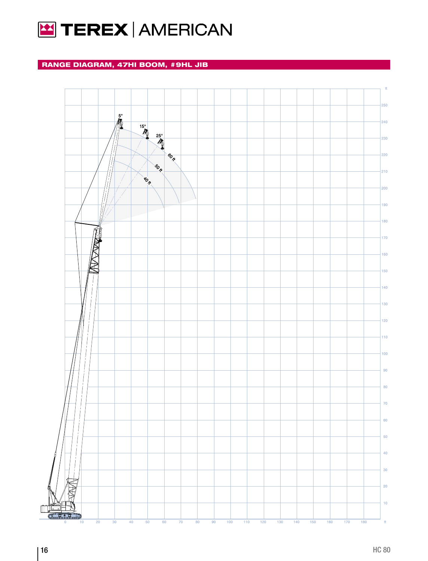

## RANGE DIAGRAM, 47HI BOOM, #9HL JIB

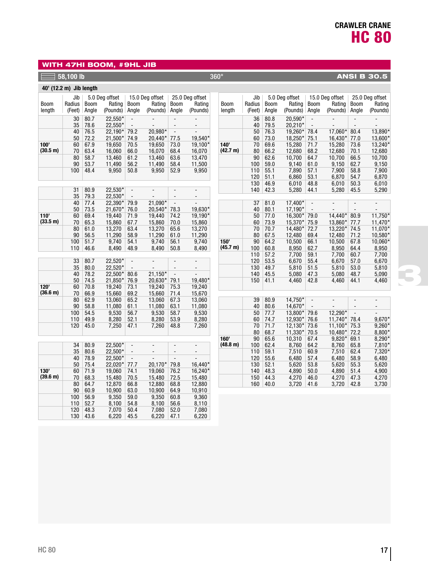## WITH 47HI BOOM, #9HL JIB

## **58,100 lb** 360° **ANSI B 30.5**

| 40' (12.2 m) Jib length |          |              |                   |                          |                          |                          |                          |             |          |              |                    |                                            |                          |                                 |                    |
|-------------------------|----------|--------------|-------------------|--------------------------|--------------------------|--------------------------|--------------------------|-------------|----------|--------------|--------------------|--------------------------------------------|--------------------------|---------------------------------|--------------------|
|                         | Jib      |              | 5.0 Deg offset    |                          | 15.0 Deg offset          |                          | 25.0 Deg offset          |             | Jib      |              | 5.0 Deg offset     |                                            | 15.0 Deg offset          |                                 | 25.0 Deg offset    |
| <b>Boom</b>             | Radius   | <b>Boom</b>  | Rating            | <b>Boom</b>              | Rating                   | <b>Boom</b>              | Rating                   | <b>Boom</b> | Radius   | <b>Boom</b>  | Rating             | <b>Boom</b>                                | Rating                   | <b>Boom</b>                     | Rating             |
| length                  | (Feet)   | Angle        | (Pounds)          | Angle                    | (Pounds)                 | Angle                    | (Pounds)                 | length      | (Feet)   | Angle        | (Pounds)           | Angle                                      | (Pounds)                 | Angle                           | (Pounds)           |
|                         | 30       | 80.7         | 22,550*           | $\overline{a}$           | $\overline{\phantom{a}}$ | $\overline{a}$           |                          |             | 36       | 80.8         | 20,590*            |                                            |                          |                                 |                    |
|                         | 35       | 78.6         | 22,550*           | $\overline{a}$           | $\overline{a}$           | $\overline{a}$           | $\overline{a}$           |             | 40       | 79.5         | 20,210*            | $\overline{a}$                             |                          | $\overline{a}$                  |                    |
|                         | 40       | 76.5         | 22,190*           | 79.2                     | 20,980*                  | $\overline{\phantom{a}}$ | $\overline{a}$           |             | 50       | 76.3         | 19,260*            | 78.4                                       | 17,060*                  | 80.4                            | 13,890*            |
|                         | 50       | 72.2         | 21,500*           | 74.9                     | 20,440*                  | 77.5                     | 19,540*                  |             | 60       | 73.0         | 18,250*            | 75.1                                       | 16,430*                  | 77.0                            | 13,600*            |
| 100'                    | 60       | 67.9         | 19,650            | 70.5                     | 19,650                   | 73.0                     | 19,100*                  | 140'        | 70       | 69.6         | 15,280             | 71.7                                       | 15,280                   | 73.6                            | 13,240*            |
| (30.5 m)                | 70       | 63.4         | 16,060            | 66.0                     | 16,070                   | 68.4                     | 16,070                   | (42.7 m)    | 80       | 66.2         | 12,680             | 68.2                                       | 12,680                   | 70.1                            | 12,680             |
|                         | 80       | 58.7         | 13.460            | 61.2                     | 13,460                   | 63.6                     | 13,470                   |             | 90       | 62.6         | 10,700             | 64.7                                       | 10.700                   | 66.5                            | 10,700             |
|                         | 90       | 53.7         | 11,490            | 56.2                     | 11,490                   | 58.4                     | 11,500                   |             | 100      | 59.0         | 9,140              | 61.0                                       | 9,150                    | 62.7                            | 9,150              |
|                         | 100      | 48.4         | 9,950             | 50.8                     | 9,950                    | 52.9                     | 9,950                    |             | 110      | 55.1         | 7,890              | 57.1                                       | 7,900                    | 58.8                            | 7,900              |
|                         |          |              |                   |                          |                          |                          |                          |             | 120      | 51.1         | 6,860              | 53.1                                       | 6,870                    | 54.7                            | 6,870              |
|                         |          |              |                   |                          |                          |                          |                          |             | 130      | 46.9         | 6,010              | 48.8                                       | 6,010                    | 50.3                            | 6,010              |
|                         | 31       | 80.9         | 22,530*           | $\overline{a}$           |                          | $\overline{a}$           | $\overline{a}$           |             | 140      | 42.3         | 5,280              | 44.1                                       | 5,280                    | 45.5                            | 5,290              |
|                         | 35       | 79.3         | 22,530*           | $\overline{a}$           |                          | $\overline{a}$           | $\overline{a}$           |             |          |              |                    |                                            |                          |                                 |                    |
|                         | 40       | 77.4         | 22,390*           | 79.9                     | 21.090*<br>20,540*       | $\overline{\phantom{a}}$ | $\overline{a}$           |             | 37       | 81.0<br>80.1 | 17,400*<br>17,190* | $\overline{\phantom{a}}$<br>$\overline{a}$ | $\overline{\phantom{a}}$ | $\frac{1}{2}$<br>$\overline{a}$ | $\overline{a}$     |
| 110'                    | 50<br>60 | 73.5<br>69.4 | 21,670*<br>19,440 | 76.0<br>71.9             | 19,440                   | 78.3<br>74.2             | 19,630*<br>19,190*       |             | 40<br>50 | 77.0         | 16,300*            | 79.0                                       | 14.440*                  | 80.9                            | 11,750*            |
| (33.5 m)                | 70       | 65.3         | 15,860            | 67.7                     | 15,860                   | 70.0                     | 15,860                   |             | 60       | 73.9         | 15,370*            | 75.9                                       | 13,860*                  | 77.7                            | 11,470*            |
|                         | 80       | 61.0         | 13,270            | 63.4                     | 13,270                   | 65.6                     | 13,270                   |             | 70       | 70.7         | 14,480*            | 72.7                                       | 13,220*                  | 74.5                            | 11,070*            |
|                         | 90       | 56.5         | 11.290            | 58.9                     | 11,290                   | 61.0                     | 11,290                   |             | 80       | 67.5         | 12,480             | 69.4                                       | 12,480                   | 71.2                            | 10,580*            |
|                         | 100      | 51.7         | 9,740             | 54.1                     | 9,740                    | 56.1                     | 9,740                    | 150'        | 90       | 64.2         | 10,500             | 66.1                                       | 10,500                   | 67.8                            | 10,060*            |
|                         | 110      | 46.6         | 8,490             | 48.9                     | 8,490                    | 50.8                     | 8,490                    | (45.7 m)    | 100      | 60.8         | 8,950              | 62.7                                       | 8,950                    | 64.4                            | 8,950              |
|                         |          |              |                   |                          |                          |                          |                          |             | 110      | 57.2         | 7,700              | 59.1                                       | 7,700                    | 60.7                            | 7,700              |
|                         | 33       | 80.7         | 22,520*           | $\overline{\phantom{a}}$ | $\overline{a}$           | $\frac{1}{2}$            | $\overline{\phantom{a}}$ |             | 120      | 53.5         | 6,670              | 55.4                                       | 6,670                    | 57.0                            | 6,670              |
|                         | 35       | 80.0         | 22,520*           |                          |                          | $\overline{a}$           |                          |             | 130      | 49.7         | 5,810              | 51.5                                       | 5,810                    | 53.0                            | 5,810              |
|                         | 40       | 78.2         | 22,500*           | 80.6                     | 21,150*                  | $\overline{\phantom{a}}$ | $\overline{a}$           |             | 140      | 45.5         | 5,080              | 47.3                                       | 5,080                    | 48.7                            | 5,090              |
|                         | 50       | 74.5         | 21,850*           | 76.9                     | 20,630*                  | 79.1                     | 19,480*                  |             | 150      | 41.1         | 4,460              | 42.8                                       | 4,460                    | 44.1                            | 4,460              |
| 120'                    | 60       | 70.8         | 19,240            | 73.1                     | 19,240                   | 75.3                     | 19,240                   |             |          |              |                    |                                            |                          |                                 |                    |
| (36.6 m)                | 70       | 66.9         | 15.660            | 69.2                     | 15,660                   | 71.4                     | 15,670                   |             |          |              |                    |                                            |                          |                                 |                    |
|                         | 80       | 62.9         | 13,060            | 65.2                     | 13,060                   | 67.3                     | 13,060                   |             | 39       | 80.9         | 14,750*            | $\overline{a}$                             | $\frac{1}{2}$            | $\overline{a}$                  | $\overline{a}$     |
|                         | 90       | 58.8         | 11,080            | 61.1                     | 11,080                   | 63.1                     | 11,080                   |             | 40       | 80.6         | 14,670*            |                                            |                          | L,                              |                    |
|                         | 100      | 54.5         | 9,530             | 56.7                     | 9,530                    | 58.7                     | 9,530                    |             | 50       | 77.7         | 13,800*            | 79.6                                       | 12,290*                  | $\overline{\phantom{a}}$        |                    |
|                         | 110      | 49.9         | 8,280             | 52.1                     | 8,280                    | 53.9                     | 8,280                    |             | 60       | 74.7         | 12,930*            | 76.6                                       | $11.740*$                | 78.4                            | 9,670*             |
|                         | 120      | 45.0         | 7,250             | 47.1                     | 7,260                    | 48.8                     | 7,260                    |             | 70       | 71.7         | 12,130*<br>11,330* | 73.6                                       | $11,100*$<br>10,480*     | 75.3<br>72.2                    | $9,260*$<br>8,800* |
|                         |          |              |                   |                          |                          |                          |                          | 160'        | 80<br>90 | 68.7<br>65.6 | 10,310             | 70.5<br>67.4                               | 9,820*                   | 69.1                            | 8,290*             |
|                         | 34       | 80.9         | 22,500*           | $\overline{\phantom{a}}$ | $\overline{a}$           | $\overline{a}$           | $\overline{\phantom{a}}$ | (48.8 m)    | 100      | 62.4         | 8,760              | 64.2                                       | 8,760                    | 65.8                            | 7,810*             |
|                         | 35       | 80.6         | 22,500*           | $\overline{\phantom{0}}$ | $\overline{\phantom{a}}$ | ÷,                       | $\overline{a}$           |             | 110      | 59.1         | 7,510              | 60.9                                       | 7,510                    | 62.4                            | 7,320*             |
|                         | 40       | 78.9         | 22,500*           | $\overline{\phantom{a}}$ |                          | $\frac{1}{2}$            | $\overline{a}$           |             | 120      | 55.6         | 6,480              | 57.4                                       | 6,480                    | 58.9                            | 6,480              |
|                         | 50       | 75.4         | 22.020*           | 77.7                     | 20,170*                  | 79.8                     | 16,440*                  |             | 130      | 52.1         | 5,620              | 53.8                                       | 5,620                    | 55.3                            | 5,620              |
| 130'                    | 60       | 71.9         | 19,060            | 74.1                     | 19,060                   | 76.2                     | 16,240*                  |             | 140      | 48.3         | 4,890              | 50.0                                       | 4,890                    | 51.4                            | 4,900              |
| (39.6 m)                | 70       | 68.3         | 15,480            | 70.5                     | 15,480                   | 72.5                     | 15,480                   |             | 150      | 44.3         | 4,270              | 46.0                                       | 4,270                    | 47.3                            | 4,270              |
|                         | 80       | 64.7         | 12,870            | 66.8                     | 12,880                   | 68.8                     | 12,880                   |             | 160      | 40.0         | 3,720              | 41.6                                       | 3,720                    | 42.8                            | 3,730              |
|                         | 90       | 60.9         | 10,900            | 63.0                     | 10,900                   | 64.9                     | 10,910                   |             |          |              |                    |                                            |                          |                                 |                    |
|                         | 100      | 56.9         | 9,350             | 59.0                     | 9,350                    | 60.8                     | 9,360                    |             |          |              |                    |                                            |                          |                                 |                    |
|                         | 110      | 52.7         | 8.100             | 54.8                     | 8,100                    | 56.6                     | 8,110                    |             |          |              |                    |                                            |                          |                                 |                    |
|                         | 120      | 48.3         | 7,070             | 50.4                     | 7,080                    | 52.0                     | 7,080                    |             |          |              |                    |                                            |                          |                                 |                    |

130

43.6 6,220 45.5 6,220 47.1 6,220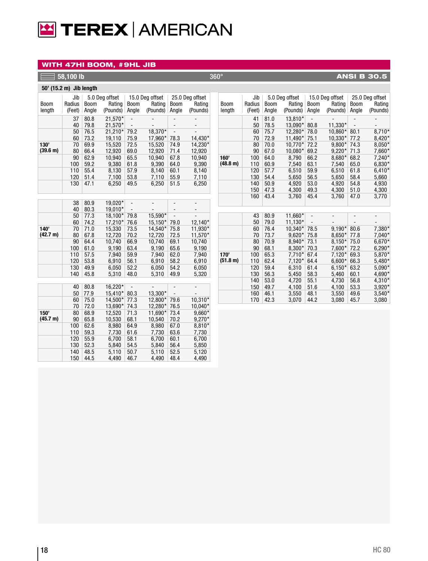# **E TEREX AMERICAN**

## WITH 47HI BOOM, #9HL JIB

#### **1**  $\overline{58,100}$  lb  $\overline{18,30.5}$   $\overline{360^\circ}$   $\overline{360^\circ}$   $\overline{408,100}$   $\overline{18,30.5}$

|                  | 50' (15.2 m) Jib length |               |                                      |                          |                                       |                                                      |                                       |  |  |  |  |  |
|------------------|-------------------------|---------------|--------------------------------------|--------------------------|---------------------------------------|------------------------------------------------------|---------------------------------------|--|--|--|--|--|
| Boom<br>length   | Jib<br>Radius<br>(Feet) | Boom<br>Angle | 5.0 Deg offset<br>Rating<br>(Pounds) | <b>Boom</b><br>Angle     | 15.0 Deg offset<br>Rating<br>(Pounds) | <b>Boom</b><br>Angle                                 | 25.0 Deg offset<br>Rating<br>(Pounds) |  |  |  |  |  |
|                  | 37<br>40                | 80.8<br>79.8  | 21.570*<br>21.570*                   | $\overline{\phantom{a}}$ |                                       |                                                      |                                       |  |  |  |  |  |
|                  | 50                      | 76.5          | $21.210*$                            | 79.2                     | 18.370*                               | $\overline{\phantom{a}}$<br>$\overline{\phantom{0}}$ |                                       |  |  |  |  |  |
|                  | 60                      | 73.2          | 19.110                               | 75.9                     | 17,960*                               | 78.3                                                 | 14,430*                               |  |  |  |  |  |
| 130'<br>(39.6 m) | 70<br>80                | 69.9<br>66.4  | 15.520<br>12.920                     | 72.5<br>69.0             | 15.520<br>12.920                      | 74.9<br>71.4                                         | 14.230*<br>12,920                     |  |  |  |  |  |
|                  | 90<br>100               | 62.9<br>59.2  | 10.940<br>9.380                      | 65.5<br>61.8             | 10.940<br>9.390                       | 67.8<br>64.0                                         | 10.940<br>9.390                       |  |  |  |  |  |
|                  | 110<br>120              | 55.4<br>51.4  | 8.130<br>7,100                       | 57.9<br>53.8             | 8.140<br>7.110                        | 60.1<br>55.9                                         | 8,140<br>7.110                        |  |  |  |  |  |
|                  | 130                     | 47.1          | 6,250                                | 49.5                     | 6,250                                 | 51.5                                                 | 6,250                                 |  |  |  |  |  |

|          | 38  | 80.9 | 19,020* |                |         |      |           |
|----------|-----|------|---------|----------------|---------|------|-----------|
|          | 40  | 80.3 | 19,010* |                |         |      |           |
|          | 50  | 77.3 | 18,100* | 79.8           | 15,590* |      |           |
|          | 60  | 74.2 | 17,210* | 76.6           | 15,150* | 79.0 | 12,140*   |
| 140'     | 70  | 71.0 | 15,330  | 73.5           | 14,540* | 75.8 | 11,930*   |
| (42.7 m) | 80  | 67.8 | 12,720  | 70.2           | 12,720  | 72.5 | 11,570*   |
|          | 90  | 64.4 | 10,740  | 66.9           | 10,740  | 69.1 | 10,740    |
|          | 100 | 61.0 | 9,190   | 63.4           | 9,190   | 65.6 | 9,190     |
|          | 110 | 57.5 | 7,940   | 59.9           | 7,940   | 62.0 | 7,940     |
|          | 120 | 53.8 | 6,910   | 56.1           | 6,910   | 58.2 | 6,910     |
|          | 130 | 49.9 | 6,050   | 52.2           | 6,050   | 54.2 | 6,050     |
|          | 140 | 45.8 | 5,310   | 48.0           | 5,310   | 49.9 | 5,320     |
|          |     |      |         |                |         |      |           |
|          | 40  | 80.8 | 16,220* | $\overline{a}$ |         |      |           |
|          | 50  | 77.9 | 15,410* | 80.3           | 13,300* |      |           |
|          | 60  | 75.0 | 14,500* | 77.3           | 12,800* | 79.6 | $10,310*$ |
|          | 70  | 72.0 | 13,690* | 74.3           | 12,280* | 76.5 | 10,040*   |
| 150'     | 80  | 68.9 | 12,520  | 71.3           | 11,690* | 73.4 | 9,660*    |
| (45.7 m) | 90  | 65.8 | 10,530  | 68.1           | 10,540  | 70.2 | $9,270*$  |
|          | 100 | 62.6 | 8,980   | 64.9           | 8,980   | 67.0 | 8,810*    |
|          | 110 | 59.3 | 7,730   | 61.6           | 7,730   | 63.6 | 7,730     |
|          | 120 | 55.9 | 6,700   | 58.1           | 6,700   | 60.1 | 6,700     |
|          | 130 | 52.3 | 5,840   | 54.5           | 5,840   | 56.4 | 5,850     |
|          | 140 | 48.5 | 5,110   | 50.7           | 5,110   | 52.5 | 5,120     |
|          | 150 | 44.5 | 4,490   | 46.7           | 4.490   | 48.4 | 4,490     |

|             | Jib    |             | 5.0 Deg offset |                   | 15.0 Deg offset | 25.0 Deg offset |          |  |
|-------------|--------|-------------|----------------|-------------------|-----------------|-----------------|----------|--|
| <b>Boom</b> | Radius | <b>Boom</b> | Rating         | <b>Boom</b>       | Rating          | <b>Boom</b>     | Rating   |  |
| length      | (Feet) | Angle       | (Pounds)       | Angle             | (Pounds)        | Angle           | (Pounds) |  |
|             | 41     | 81.0        | 13,810*        |                   |                 |                 |          |  |
|             | 50     | 78.5        | 13,090*        | 80.8              | 11,330*         |                 |          |  |
|             | 60     | 75.7        | 12,280*        | 78.0              | 10,860*         | 80.1            | 8,710*   |  |
|             | 70     | 72.9        | 11,490*        | 75.1<br>$10,330*$ |                 | 77.2            | 8,420*   |  |
|             | 80     | 70.0        | 10,770*        | 72.2              | 9,800*          | 74.3            | 8,050*   |  |
|             | 90     | 67.0        | 10,080*        | 69.2              | $9,220*$        | 71.3            | 7,660*   |  |
| 160'        | 100    | 64.0        | 8,790          | 66.2              | 8,680*          | 68.2            | 7,240*   |  |
| (48.8 m)    | 110    | 60.9        | 7,540          | 63.1              | 7,540           | 65.0            | $6,830*$ |  |
|             | 120    | 57.7        | 6,510          | 59.9              | 6,510           | 61.8            | $6,410*$ |  |
|             | 130    | 54.4        | 5,650          | 56.5              | 5,650           | 58.4            | 5,660    |  |
|             | 140    | 50.9        | 4,920          | 53.0              | 4,920           | 54.8            | 4,930    |  |
|             | 150    | 47.3        | 4,300          | 49.3              | 4,300           | 51.0            | 4,300    |  |
|             | 160    | 43.4        | 3,760          | 45.4              | 3,760           | 47.0            | 3,770    |  |
|             |        |             |                |                   |                 |                 |          |  |
|             |        |             |                |                   |                 |                 |          |  |
|             | 43     | 80.9        | 11,660*        | -                 |                 |                 |          |  |
|             | 50     | 79.0        | 11,130*        |                   |                 |                 |          |  |
|             | 60     | 76.4        | 10,340*        | 78.5              | $9,190*$        | 80.6            | 7,380*   |  |
|             | 70     | 73.7        | 9,620*         | 75.8              | $8,650*$        | 77.8            | 7,040*   |  |
|             | 80     | 70.9        | 8,940*         | 73.1              | 8,150*          | 75.0            | $6,670*$ |  |
|             | 90     | 68.1        | 8,300*         | 70.3              | $7,600*$        | 72.2            | $6,290*$ |  |
| 170'        | 100    | 65.3        | 7,710*         | 67.4              | $7,120*$        | 69.3            | 5,870*   |  |
| (51.8 m)    | 110    | 62.4        | $7,120*$       | 64.4              | $6,600*$        | 66.3            | 5,480*   |  |
|             | 120    | 59.4        | 6,310          | 61.4              | $6,150*$        | 63.2            | 5,090*   |  |
|             | 130    | 56.3        | 5,450          | 58.3              | 5,460           | 60.1            | 4,690*   |  |
|             | 140    | 53.0        | 4,720          | 55.1              | 4,730           | 56.8            | 4,310*   |  |
|             | 150    | 49.7        | 4,100          | 51.6              | 4,100           | 53.3            | $3,920*$ |  |
|             | 160    | 46.1        | 3,550          | 48.1              | 3,550           | 49.6            | $3,540*$ |  |
|             | 170    | 42.3        | 3,070          | 44.2              | 3,080           | 45.7            | 3,080    |  |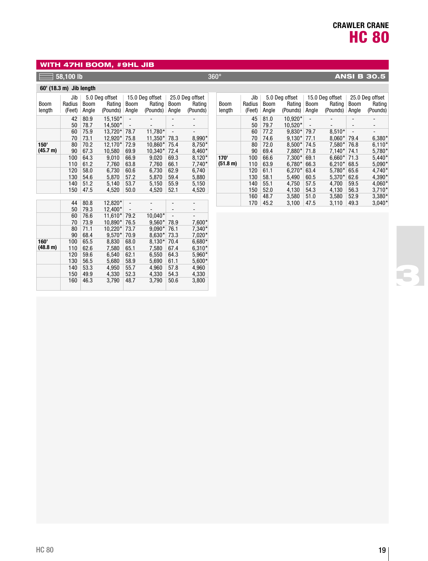## WITH 47HI BOOM, #9HL JIB

## **58,100 lb** 360° **ANSI B 30.5**

## **60' (18.3 m) Jib length**

| <b>Boom</b><br>length | Jib<br>Radius<br>(Feet) | <b>Boom</b><br>Angle | 5.0 Deg offset<br>Rating<br>(Pounds) | Boom<br>Angle                | 15.0 Deg offset<br>Rating<br>(Pounds) | <b>Boom</b><br>Angle | 25.0 Deg offset<br>Rating<br>(Pounds) |
|-----------------------|-------------------------|----------------------|--------------------------------------|------------------------------|---------------------------------------|----------------------|---------------------------------------|
|                       |                         |                      |                                      |                              |                                       |                      |                                       |
|                       | 42                      | 80.9                 | 15,150*                              |                              |                                       |                      |                                       |
|                       | 50                      | 78.7                 | 14.500*                              | $\qquad \qquad \blacksquare$ |                                       | -                    | -                                     |
|                       | 60                      | 75.9                 | 13.720*                              | 78.7                         | 11.780*                               |                      |                                       |
|                       | 70                      | 73.1                 | 12.920*                              | 75.8                         | 11,350*                               | 78.3                 | 8,990*                                |
| 150'                  | 80                      | 70.2                 | 12.170*                              | 72.9                         | 10.860*                               | 75.4                 | 8,750*                                |
| (45.7 m)              | 90                      | 67.3                 | 10.580                               | 69.9                         | 10.340*                               | 72.4                 | $8.460*$                              |
|                       | 100                     | 64.3                 | 9.010                                | 66.9                         | 9.020                                 | 69.3                 | $8,120*$                              |
|                       | 110                     | 61.2                 | 7,760                                | 63.8                         | 7.760                                 | 66.1                 | 7,740*                                |
|                       | 120                     | 58.0                 | 6.730                                | 60.6                         | 6.730                                 | 62.9                 | 6,740                                 |
|                       | 130                     | 54.6                 | 5.870                                | 57.2                         | 5.870                                 | 59.4                 | 5.880                                 |
|                       | 140                     | 51.2                 | 5.140                                | 53.7                         | 5.150                                 | 55.9                 | 5,150                                 |
|                       | 150                     | 47.5                 | 4.520                                | 50.0                         | 4.520                                 | 52.1                 | 4,520                                 |
|                       |                         |                      |                                      |                              |                                       |                      |                                       |
|                       |                         | .                    | .                                    |                              |                                       |                      |                                       |

|          | 44  | 80.8 | 12,820*  | $\qquad \qquad \blacksquare$ |          |      |          |
|----------|-----|------|----------|------------------------------|----------|------|----------|
|          | 50  | 79.3 | 12.400*  |                              |          |      |          |
|          | 60  | 76.6 | 11.610*  | 79.2                         | 10,040*  |      |          |
|          | 70  | 73.9 | 10,890*  | 76.5                         | 9,560*   | 78.9 | 7,600*   |
|          | 80  | 71.1 | 10.220*  | 73.7                         | $9,090*$ | 76.1 | 7,340*   |
|          | 90  | 68.4 | $9.570*$ | 70.9                         | 8,630*   | 73.3 | $7,020*$ |
| 160'     | 100 | 65.5 | 8.830    | 68.0                         | $8.130*$ | 70.4 | $6,680*$ |
| (48.8 m) | 110 | 62.6 | 7,580    | 65.1                         | 7.580    | 67.4 | $6,310*$ |
|          | 120 | 59.6 | 6,540    | 62.1                         | 6,550    | 64.3 | 5,960*   |
|          | 130 | 56.5 | 5,680    | 58.9                         | 5.690    | 61.1 | $5,600*$ |
|          | 140 | 53.3 | 4,950    | 55.7                         | 4,960    | 57.8 | 4,960    |
|          | 150 | 49.9 | 4,330    | 52.3                         | 4,330    | 54.3 | 4,330    |
|          | 160 | 46.3 | 3,790    | 48.7                         | 3,790    | 50.6 | 3,800    |

| <b>Boom</b><br>length | Jib<br>Radius<br>(Feet) | <b>Boom</b><br>Angle | 5.0 Deg offset<br>Rating<br>(Pounds) | <b>Boom</b><br>Angle         | 15.0 Deg offset<br>Rating<br>(Pounds) | <b>Boom</b><br>Angle | 25.0 Deg offset<br>Rating<br>(Pounds) |
|-----------------------|-------------------------|----------------------|--------------------------------------|------------------------------|---------------------------------------|----------------------|---------------------------------------|
|                       | 45                      | 81.0                 | 10,920*                              |                              |                                       |                      |                                       |
|                       | 50                      | 79.7                 | 10.520*                              | $\qquad \qquad \blacksquare$ |                                       |                      |                                       |
|                       | 60                      | 77.2                 | $9.830*$                             | 79.7                         | $8.510*$                              |                      | -                                     |
|                       | 70                      | 74.6                 | $9.130*$                             | 77.1                         | $8.060*$                              | 79.4                 | 6,380*                                |
|                       | 80                      | 72.0                 | $8.500*$                             | 74.5                         | $7.580*$                              | 76.8                 | $6,110*$                              |
|                       | 90                      | 69.4                 | 7,880*                               | 71.8                         | $7,140*$                              | 74.1                 | 5,780*                                |
| 170'                  | 100                     | 66.6                 | 7,300*                               | 69.1                         | $6.660*$                              | 71.3                 | $5,440*$                              |
| (51.8 m)              | 110                     | 63.9                 | $6.780*$                             | 66.3                         | $6.210*$                              | 68.5                 | $5,090*$                              |
|                       | 120                     | 61.1                 | $6.270*$                             | 63.4                         | 5,780*                                | 65.6                 | $4,740*$                              |
|                       | 130                     | 58.1                 | 5.490                                | 60.5                         | 5.370*                                | 62.6                 | 4,390*                                |
|                       | 140                     | 55.1                 | 4.750                                | 57.5                         | 4.700                                 | 59.5                 | $4,060*$                              |
|                       | 150                     | 52.0                 | 4.130                                | 54.3                         | 4.130                                 | 56.3                 | $3,710*$                              |
|                       | 160                     | 48.7                 | 3,580                                | 51.0                         | 3,580                                 | 52.9                 | 3,380*                                |
|                       | 170                     | 45.2                 | 3.100                                | 47.5                         | 3.110                                 | 49.3                 | $3,040*$                              |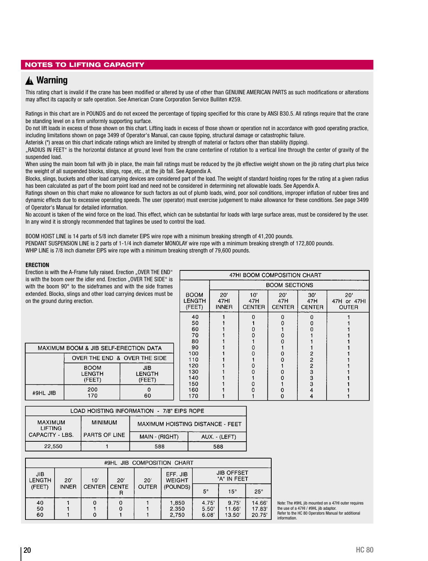## NOTES TO LIFTING CAPACITY

## **Warning** ▲**!**

This rating chart is invalid if the crane has been modified or altered by use of other than GENUINE AMERICAN PARTS as such modifications or alterations may affect its capacity or safe operation. See American Crane Corporation Service Bulliten #259.

Ratings in this chart are in POUNDS and do not exceed the percentage of tipping specified for this crane by ANSI B30.5. All ratings require that the crane be standing level on a firm uniformly supporting surface.

Do not lift loads in excess of those shown on this chart. Lifting loads in excess of those shown or operation not in accordance with good operating practice, including limitations shown on page 3499 of Operator's Manual, can cause tipping, structural damage or catastrophic failure.

Asterisk (\*) areas on this chart indicate ratings which are limited by strength of material or factors other than stability (tipping).

"RADIUS IN FEET" is the horizontal distance at ground level from the crane centerline of rotation to a vertical line through the center of gravity of the suspended load.

When using the main boom fall with jib in place, the main fall ratings must be reduced by the jib effective weight shown on the jib rating chart plus twice the weight of all suspended blocks, slings, rope, etc., at the jib fall. See Appendix A.

Blocks, slings, buckets and other load carrying devices are considered part of the load. The weight of standard hoisting ropes for the rating at a given radius has been calculated as part of the boom point load and need not be considered in determining net allowable loads. See Appendix A.

Ratings shown on this chart make no allowance for such factors as out of plumb loads, wind, poor soil conditions, improper inflation of rubber tires and dynamic effects due to excessive operating speeds. The user (operator) must exercise judgement to make allowance for these conditions. See page 3499 of Operator's Manual for detailed information.

No account is taken of the wind force on the load. This effect, which can be substantial for loads with large surface areas, must be considered by the user. In any wind it is strongly recommended that taglines be used to control the load.

BOOM HOIST LINE is 14 parts of 5/8 inch diameter EIPS wire rope with a minimum breaking strength of 41,200 pounds.

PENDANT SUSPENSION LINE is 2 parts of 1-1/4 inch diameter MONOLAY wire rope with a minimum breaking strength of 172,800 pounds.

WHIP LINE is 7/8 inch diameter EIPS wire rope with a minimum breaking strength of 79,600 pounds.

#### **ERECTION**

|                                | Erection is with the A-Frame fully raised. Erection "OVER THE END"<br>is with the boom over the idler end. Erection "OVER THE SIDE" is |                          |                                        | 47HI BOOM COMPOSITION CHART |                             |                             |                             |                                    |  |  |
|--------------------------------|----------------------------------------------------------------------------------------------------------------------------------------|--------------------------|----------------------------------------|-----------------------------|-----------------------------|-----------------------------|-----------------------------|------------------------------------|--|--|
|                                | with the boom 90° to the sideframes and with the side frames                                                                           |                          |                                        | <b>BOOM SECTIONS</b>        |                             |                             |                             |                                    |  |  |
| on the ground during erection. | extended. Blocks, slings and other load carrying devices must be                                                                       |                          | <b>BOOM</b><br><b>LENGTH</b><br>(FEET) | 20'<br>47HI<br><b>INNER</b> | 10'<br>47H<br><b>CENTER</b> | 20'<br>47H<br><b>CENTER</b> | 30'<br>47H<br><b>CENTER</b> | 20'<br>47H or 47HI<br><b>OUTER</b> |  |  |
|                                |                                                                                                                                        |                          | 40<br>50<br>60<br>70                   |                             | n                           | 0                           | o                           |                                    |  |  |
|                                | MAXIMUM BOOM & JIB SELF-ERECTION DATA                                                                                                  |                          | 80<br>90                               |                             |                             |                             |                             |                                    |  |  |
|                                | OVER THE END & OVER THE SIDE                                                                                                           |                          | 100<br>110                             |                             |                             |                             | 2                           |                                    |  |  |
|                                | <b>BOOM</b><br>LENGTH<br>(FEET)                                                                                                        | JIB.<br>LENGTH<br>(FEET) | 120<br>130<br>140<br>150               |                             |                             |                             | 2<br>3<br>3<br>3            |                                    |  |  |
| #9HL JIB                       | 200<br>170                                                                                                                             | Ω<br>60                  | 160<br>170                             |                             |                             | 0                           | 4<br>4                      |                                    |  |  |
|                                |                                                                                                                                        |                          |                                        |                             |                             |                             |                             |                                    |  |  |

| LUAD HUISTING INFURNATION - 778 EIPS RUPE |                |                |                                  |  |  |  |  |  |  |
|-------------------------------------------|----------------|----------------|----------------------------------|--|--|--|--|--|--|
| <b>MAXIMUM</b><br><b>LIFTING</b>          | <b>MINIMUM</b> |                | MAXIMUM HOISTING DISTANCE - FEET |  |  |  |  |  |  |
| CAPACITY - LBS.                           | PARTS OF LINE  | MAIN - (RIGHT) | AUX. - (LEFT)                    |  |  |  |  |  |  |
| 22,550                                    |                | 588            | 588                              |  |  |  |  |  |  |

|                                               | #9HL JIB COMPOSITION CHART |                                                                                    |                |              |                         |                        |                           |                         |  |  |  |  |  |
|-----------------------------------------------|----------------------------|------------------------------------------------------------------------------------|----------------|--------------|-------------------------|------------------------|---------------------------|-------------------------|--|--|--|--|--|
| <b>JIB</b><br>LENGTH                          | 20'                        | <b>JIB OFFSET</b><br>EFF. JIB<br>"A" IN FEET<br><b>WEIGHT</b><br>20'<br>10'<br>20' |                |              |                         |                        |                           |                         |  |  |  |  |  |
| (FEET)                                        | <b>INNER</b>               | <b>CENTER</b>                                                                      | <b>I CENTE</b> | <b>OUTER</b> | (POUNDS)                | 5°                     | $15^{\circ}$              | $25^\circ$              |  |  |  |  |  |
| $\begin{array}{c} 40 \\ 50 \end{array}$<br>60 |                            |                                                                                    |                |              | 1,850<br>2.350<br>2,750 | 4.75<br>5.50'<br>6.08' | 9.75'<br>11.66'<br>13.50' | 14.66<br>17.83<br>20.75 |  |  |  |  |  |

Note: The #9HL jib mounted on a 47HI outer requires the use of a 47HI / #9HL jib adaptor. Refer to the HC 80 Operators Manual for additional information.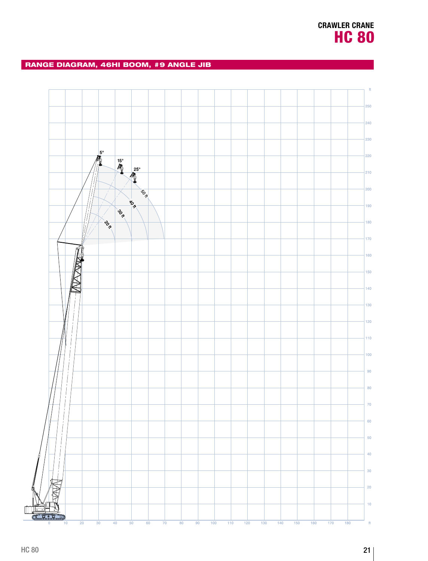## RANGE DIAGRAM, 46HI BOOM, #9 ANGLE JIB

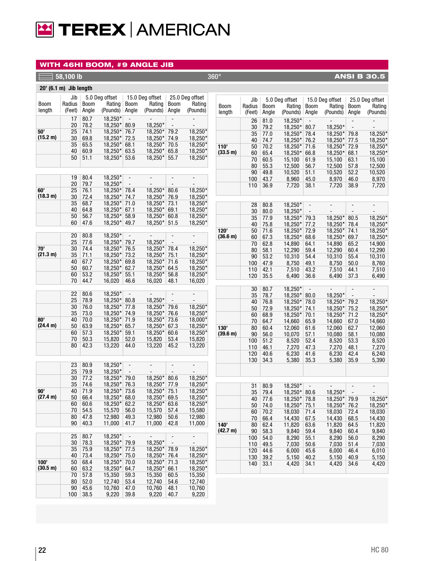

#### WITH 46HI BOOM, #9 ANGLE JIB

**50' (15.2 m)**

**60' (18.3 m)**

|                        | 58,100 lb |              |                           |                          |                          |                                                      |                                            | $360^\circ$      |               |              |                          |                          |                           |                          | <b>ANSI B 30.5</b>                  |
|------------------------|-----------|--------------|---------------------------|--------------------------|--------------------------|------------------------------------------------------|--------------------------------------------|------------------|---------------|--------------|--------------------------|--------------------------|---------------------------|--------------------------|-------------------------------------|
| 20' (6.1 m) Jib length |           |              |                           |                          |                          |                                                      |                                            |                  |               |              |                          |                          |                           |                          |                                     |
|                        | Jib       |              | 5.0 Deg offset            |                          | 15.0 Deg offset          |                                                      | 25.0 Deg offset                            |                  |               |              |                          |                          |                           |                          |                                     |
| Boom                   | Radius    | <b>Boom</b>  | Rating                    | Boom                     | Rating                   | <b>Boom</b>                                          | Rating                                     | <b>Boom</b>      | Jib<br>Radius | <b>Boom</b>  | 5.0 Deg offset<br>Rating | Boom                     | 15.0 Deg offset<br>Rating | Boom                     | 25.0 Deg offset<br>Rating           |
| length                 | (Feet)    | Angle        | (Pounds)                  | Angle                    | (Pounds)                 | Angle                                                | (Pounds)                                   | length           | (Feet)        | Angle        | (Pounds)                 | Angle                    | (Pounds)                  | Angle                    | (Pounds)                            |
|                        | 17        | 80.7         | 18,250*                   | $\Box$                   | $\overline{\phantom{a}}$ | $\overline{\phantom{a}}$                             | $\overline{\phantom{a}}$                   |                  |               |              |                          |                          |                           |                          |                                     |
|                        | 20        | 78.2         | 18,250*                   | 80.9                     | 18,250*                  | $\overline{\phantom{a}}$                             | $\overline{\phantom{a}}$                   |                  | 26            | 81.0         | 18,250*                  | $\overline{\phantom{0}}$ |                           | $\overline{a}$           |                                     |
| 50'                    | 25        | 74.1         | 18,250*                   | 76.7                     | 18,250*                  | 79.2                                                 | 18,250*                                    |                  | 30<br>35      | 79.2<br>77.0 | 18,250*<br>$18,250*$     | 80.7<br>78.4             | 18,250*<br>$18,250*$      | 79.8                     | 18,250*                             |
| (15.2 m)               | 30        | 69.8         | $18,250*$                 | 72.5                     | $18,250*$                | 74.9                                                 | $18,250*$                                  |                  | 40            | 74.7         | 18,250*                  | 76.2                     | 18,250*                   | 77.5                     | 18,250*                             |
|                        | 35        | 65.5         | 18,250*                   | 68.1                     | 18,250*                  | 70.5                                                 | 18,250*                                    | 110'             | 50            | 70.2         | 18,250*                  | 71.6                     | 18,250* 72.9              |                          | 18,250*                             |
|                        | 40        | 60.9         | $18,250*$                 | 63.5                     | $18,250*$                | 65.8                                                 | 18,250*                                    | (33.5 m)         | 60            | 65.4         | 18,250*                  | 66.8                     | 18,250*                   | 68.1                     | 18,250*                             |
|                        | 50        | 51.1         | 18,250*                   | 53.6                     | 18,250*                  | 55.7                                                 | 18,250*                                    |                  | 70            | 60.5         | 15,100                   | 61.9                     | 15,100                    | 63.1                     | 15,100                              |
|                        |           |              |                           |                          |                          |                                                      |                                            |                  | 80            | 55.3         | 12,500                   | 56.7                     | 12,500                    | 57.8                     | 12,500                              |
|                        |           |              |                           |                          |                          |                                                      |                                            |                  | 90            | 49.8         | 10,520                   | 51.1                     | 10,520                    | 52.2                     | 10,520                              |
|                        | 19        | 80.4         | 18,250*                   | $\overline{\phantom{a}}$ |                          | $\overline{\phantom{a}}$                             | $\overline{a}$                             |                  | 100           | 43.7         | 8,960                    | 45.0                     | 8,970                     | 46.0                     | 8,970                               |
|                        | 20        | 79.7         | 18,250*                   | $\overline{\phantom{a}}$ |                          | $\overline{\phantom{a}}$                             | $\overline{\phantom{a}}$                   |                  | 110           | 36.9         | 7,720                    | 38.1                     | 7,720                     | 38.9                     | 7,720                               |
| 60'                    | 25        | 76.1         | 18,250*                   | 78.4                     | 18,250*                  | 80.6                                                 | 18,250*                                    |                  |               |              |                          |                          |                           |                          |                                     |
| (18.3 m)               | 30        | 72.4         | $18,250*$                 | 74.7                     | 18,250*                  | 76.9                                                 | $18,250*$                                  |                  |               |              |                          |                          |                           |                          |                                     |
|                        | 35        | 68.7         | 18,250*                   | 71.0                     | 18,250*                  | 73.1<br>69.1                                         | 18,250*                                    |                  | 28            | 80.8         | 18,250*                  | $\overline{\phantom{a}}$ | $\overline{\phantom{a}}$  | $\overline{\phantom{a}}$ |                                     |
|                        | 40<br>50  | 64.8<br>56.7 | 18,250*<br>18,250*        | 67.1<br>58.9             | $18,250*$<br>$18,250*$   | 60.8                                                 | 18,250*<br>$18,250*$                       |                  | 30            | 80.0         | 18,250*                  | $\overline{\phantom{a}}$ |                           |                          |                                     |
|                        | 60        | 47.6         | 18,250* 49.7              |                          | $18,250*$                | 51.5                                                 | 18,250*                                    |                  | 35            | 77.9         | 18,250*                  | 79.3                     | 18,250*                   | 80.5                     | 18,250*                             |
|                        |           |              |                           |                          |                          |                                                      |                                            |                  | 40            | 75.8         | 18,250*                  | 77.2                     | 18,250*                   | 78.4                     | 18,250*                             |
|                        | 20        | 80.8         | 18,250*                   | $\overline{\phantom{a}}$ | $\overline{\phantom{a}}$ | $\overline{\phantom{a}}$                             | $\overline{\phantom{a}}$                   | 120'<br>(36.6 m) | 50<br>60      | 71.6<br>67.3 | 18,250*<br>18,250*       | 72.9<br>68.6             | $18,250*$ 74.1<br>18,250* | 69.7                     | 18,250*<br>18,250*                  |
|                        | 25        | 77.6         | 18,250*                   | 79.7                     | 18.250*                  | $\overline{\phantom{a}}$                             | $\overline{\phantom{a}}$                   |                  | 70            | 62.8         | 14,890                   | 64.1                     | 14,890                    | 65.2                     | 14,900                              |
| 70'                    | 30        | 74.4         | 18,250*                   | 76.5                     | 18,250*                  | 78.4                                                 | 18,250*                                    |                  | 80            | 58.1         | 12,290                   | 59.4                     | 12,290                    | 60.4                     | 12,290                              |
| (21.3 m)               | 35        | 71.1         | 18,250*                   | 73.2                     | $18,250*$                | 75.1                                                 | 18,250*                                    |                  | 90            | 53.2         | 10,310                   | 54.4                     | 10,310                    | 55.4                     | 10,310                              |
|                        | 40        | 67.7         | 18,250*                   | 69.8                     | 18,250*                  | 71.6                                                 | 18,250*                                    |                  | 100           | 47.9         | 8,750                    | 49.1                     | 8,750                     | 50.0                     | 8,760                               |
|                        | 50        | 60.7         | 18,250*                   | 62.7                     | 18,250*                  | 64.5                                                 | 18,250*                                    |                  | 110           | 42.1         | 7,510                    | 43.2                     | 7,510                     | 44.1                     | 7,510                               |
|                        | 60        | 53.2         | 18,250*                   | 55.1                     | 18,250*                  | 56.8                                                 | 18,250*                                    |                  | 120           | 35.5         | 6,490                    | 36.6                     | 6,490                     | 37.3                     | 6,490                               |
|                        | 70        | 44.7         | 16,020                    | 46.6                     | 16,020                   | 48.1                                                 | 16,020                                     |                  |               |              |                          |                          |                           |                          |                                     |
|                        |           |              |                           |                          |                          |                                                      |                                            |                  | 30            | 80.7         | 18,250*                  | $\overline{\phantom{a}}$ | $\overline{\phantom{a}}$  | $\overline{\phantom{a}}$ | $\overline{\phantom{a}}$            |
|                        | 22<br>25  | 80.6<br>78.9 | 18,250*<br>18,250*        | $\overline{\phantom{a}}$ | $\sim$<br>18,250*        | $\overline{\phantom{a}}$<br>$\overline{\phantom{a}}$ | $\overline{\phantom{a}}$<br>$\overline{a}$ |                  | 35            | 78.7         | $18,250*$                | 80.0                     | 18,250*                   | $\overline{\phantom{a}}$ |                                     |
|                        | 30        | 76.0         | $18,250*$                 | 80.8<br>77.8             | 18,250*                  | 79.6                                                 | 18,250*                                    |                  | 40            | 76.8         | 18,250*                  | 78.0                     | 18,250*                   | 79.2                     | 18,250*                             |
|                        | 35        | 73.0         | 18,250*                   | 74.9                     | 18,250*                  | 76.6                                                 | 18,250*                                    |                  | 50            | 72.9         | 18,250*                  | 74.1                     | 18,250*                   | 75.2                     | 18,250*                             |
| BO'                    | 40        | 70.0         | 18,250* 71.9              |                          | 18,250*                  | 73.6                                                 | 18,000*                                    |                  | 60<br>70      | 68.9<br>64.7 | 18,250*<br>14,660        | 70.1                     | 18,250*<br>14,660         | 71.2                     | 18,250*                             |
| (24.4 m)               | 50        | 63.9         | 18,250*                   | 65.7                     | 18,250*                  | 67.3                                                 | 18,250*                                    | 130'             | 80            | 60.4         | 12,060                   | 65.9<br>61.6             | 12,060                    | 67.0<br>62.7             | 14,660<br>12,060                    |
|                        | 60        | 57.3         | 18,250*                   | 59.1                     | 18,250*                  | 60.6                                                 | 18,250*                                    | (39.6 m)         | 90            | 56.0         | 10,070                   | 57.1                     | 10,080                    | 58.1                     | 10,080                              |
|                        | 70        | 50.3         | 15,820                    | 52.0                     | 15,820                   | 53.4                                                 | 15,820                                     |                  | 100           | 51.2         | 8,520                    | 52.4                     | 8,520                     | 53.3                     | 8,520                               |
|                        | 80        | 42.3         | 13,220                    | 44.0                     | 13,220                   | 45.2                                                 | 13,220                                     |                  | 110           | 46.1         | 7,270                    | 47.3                     | 7,270                     | 48.1                     | 7,270                               |
|                        |           |              |                           |                          |                          |                                                      |                                            |                  | 120           | 40.6         | 6,230                    | 41.6                     | 6,230                     | 42.4                     | 6,240                               |
|                        |           |              |                           |                          |                          |                                                      |                                            |                  | 130           | 34.3         | 5,380                    | 35.3                     | 5,380                     | 35.9                     | 5,390                               |
|                        | 23        | 80.9         | $18,250*$                 | $\overline{\phantom{a}}$ |                          |                                                      | $\overline{\phantom{a}}$                   |                  |               |              |                          |                          |                           |                          |                                     |
|                        | 25<br>30  | 79.9         | 18,250*                   | $\overline{\phantom{a}}$ |                          |                                                      | $\overline{\phantom{a}}$                   |                  |               |              |                          |                          |                           |                          |                                     |
|                        | 35        | 77.2<br>74.6 | 18,250*<br>18,250*        | 79.0<br>76.3             | 18,250*<br>$18,250*$     | 80.6<br>77.9                                         | $18,250*$<br>$18,250*$                     |                  |               |              |                          |                          |                           |                          |                                     |
| 90'                    | 40        | 71.9         | $18,250*$ 73.6            |                          | $18,250*$                | 75.1                                                 | $18,250*$                                  |                  | 31            | 80.9         | 18,250*                  | $\overline{\phantom{a}}$ |                           | $\overline{\phantom{a}}$ |                                     |
| (27.4 m)               | 50        | 66.4         | $18,250*$                 | 68.0                     | 18,250*                  | 69.5                                                 | 18,250*                                    |                  | 35<br>40      | 79.4<br>77.6 | $18,250*$<br>18,250*     | 80.6                     | 18,250*<br>18,250* 79.9   | $\overline{\phantom{a}}$ | $\overline{\phantom{a}}$<br>18,250* |
|                        | 60        | 60.6         | $18,250*$ 62.2            |                          | 18,250*                  | 63.6                                                 | 18,250*                                    |                  | 50            | 74.0         | 18,250*                  | 78.8<br>75.1             | $18,250*$                 | 76.2                     | 18,250*                             |
|                        | 70        | 54.5         | 15,570                    | 56.0                     | 15,570                   | 57.4                                                 | 15,580                                     |                  | 60            | 70.2         | 18,030                   | 71.4                     | 18,030                    | 72.4                     | 18,030                              |
|                        | 80        | 47.8         | 12,980                    | 49.3                     | 12,980                   | 50.6                                                 | 12,980                                     |                  | 70            | 66.4         | 14,430                   | 67.5                     | 14,430                    | 68.5                     | 14,430                              |
|                        | 90        | 40.3         | 11,000                    | 41.7                     | 11,000                   | 42.8                                                 | 11,000                                     | 140'             | 80            | 62.4         | 11,820                   | 63.6                     | 11,820                    | 64.5                     | 11,820                              |
|                        |           |              |                           |                          |                          |                                                      |                                            | (42.7 m)         | 90            | 58.3         | 9,840                    | 59.4                     | 9,840                     | 60.4                     | 9,840                               |
|                        | 25        | 80.7         | 18,250*                   | $\overline{\phantom{a}}$ | $\overline{\phantom{a}}$ | $\overline{\phantom{a}}$                             | $\overline{\phantom{a}}$                   |                  | 100           | 54.0         | 8,290                    | 55.1                     | 8,290                     | 56.0                     | 8,290                               |
|                        | 30        | 78.3         | 18,250* 79.9              |                          | 18,250*                  | $\overline{\phantom{a}}$                             | $\overline{\phantom{a}}$                   |                  | 110           | 49.5         | 7,030                    | 50.6                     | 7,030                     | 51.4                     | 7,030                               |
|                        | 35        | 75.9         | 18,250* 77.5              |                          | $18,250*$                | 78.9                                                 | 18,250*                                    |                  | 120           | 44.6         | 6,000                    | 45.6                     | 6,000                     | 46.4                     | 6,010                               |
| 100'                   | 40<br>50  | 73.4<br>68.4 | $18,250*$<br>18,250* 70.0 | 75.0                     | 18,250*<br>18,250* 71.3  | 76.4                                                 | 18,250*<br>18,250*                         |                  | 130           | 39.2         | 5,150                    | 40.2                     | 5,150                     | 40.9                     | 5,150                               |
|                        |           |              |                           |                          |                          |                                                      |                                            |                  |               | 140 33.1     | 4,420                    | 34.1                     | 4,420                     | 34.6                     | 4,420                               |

\* \* \* \*

\* \* \* \*

\* \* \*

\* \*

**90' (27.4 m)**

**100' (30.5 m)**

 $68.4$   $18,250*$   $70.0$   $18,250*$   $71.3$   $18,250$  $63.2$   $18,250*$   $64.7$   $18,250*$   $66.1$   $18,250$ 57.8 15,350 59.3 15,350 60.5 15,350 52.0 12,740 53.4 12,740 54.6 12,740 45.6 10,760 47.0 10,760 48.1 10,760

 $18,250*$  71.3  $18,250*$  66.1

 $18,250*$ 18,250\*

9,220 39.8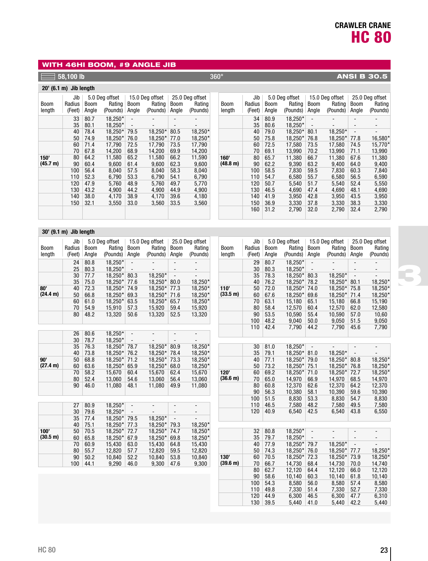## WITH 46HI BOOM, #9 ANGLE JIB

## **1**  $\overline{58,100}$  lb  $\overline{360^\circ}$  360° **ANSI B 30.5**

## **20' (6.1 m) Jib length**

| <b>Boom</b><br>length | Jib<br>Radius<br>(Feet) | <b>Boom</b><br>Angle | 5.0 Deg offset<br>Rating<br>(Pounds) | Boom<br>Angle | 15.0 Deg offset<br>Rating<br>(Pounds) | <b>Boom</b><br>Angle | 25.0 Deg offset<br>Rating<br>(Pounds) | Вc<br>leı |
|-----------------------|-------------------------|----------------------|--------------------------------------|---------------|---------------------------------------|----------------------|---------------------------------------|-----------|
|                       | 33                      | 80.7                 | 18,250*                              |               |                                       |                      |                                       |           |
|                       | 35                      | 80.1                 | 18.250*                              |               |                                       |                      |                                       |           |
|                       | 40                      | 78.4                 | 18,250*                              | 79.5          | 18,250*                               | 80.5                 | 18,250*                               |           |
|                       | 50                      | 74.9                 | 18.250*                              | 76.0          | 18,250*                               | 77.0                 | 18,250*                               |           |
|                       | 60                      | 71.4                 | 17.790                               | 72.5          | 17,790                                | 73.5                 | 17,790                                |           |
|                       | 70                      | 67.8                 | 14,200                               | 68.9          | 14,200                                | 69.9                 | 14,200                                |           |
| 150'                  | 80                      | 64.2                 | 11,580                               | 65.2          | 11,580                                | 66.2                 | 11,590                                | 16        |
| (45.7 m)              | 90                      | 60.4                 | 9.600                                | 61.4          | 9,600                                 | 62.3                 | 9,600                                 | (4)       |
|                       | 100                     | 56.4                 | 8.040                                | 57.5          | 8.040                                 | 58.3                 | 8.040                                 |           |
|                       | 110                     | 52.3                 | 6,790                                | 53.3          | 6,790                                 | 54.1                 | 6,790                                 |           |
|                       | 120                     | 47.9                 | 5,760                                | 48.9          | 5,760                                 | 49.7                 | 5,770                                 |           |
|                       | 130                     | 43.2                 | 4.900                                | 44.2          | 4.900                                 | 44.9                 | 4,900                                 |           |
|                       | 140                     | 38.0                 | 4.170                                | 38.9          | 4,170                                 | 39.6                 | 4,180                                 |           |
|                       | 150                     | 32.1                 | 3,550                                | 33.0          | 3,560                                 | 33.5                 | 3,560                                 |           |
|                       |                         |                      |                                      |               |                                       |                      |                                       |           |

| Boom<br>length | Jib<br>Radius<br>(Feet) | Boom<br>Angle | 5.0 Deg offset<br>Rating<br>(Pounds) | <b>Boom</b><br>Angle | 15.0 Deg offset<br>Rating<br>(Pounds) | <b>Boom</b><br>Angle | 25.0 Deg offset<br>Rating<br>(Pounds) |
|----------------|-------------------------|---------------|--------------------------------------|----------------------|---------------------------------------|----------------------|---------------------------------------|
|                | 34                      | 80.9          | 18,250*                              |                      |                                       |                      |                                       |
|                | 35                      | 80.6          | 18.250*                              |                      |                                       |                      |                                       |
|                | 40                      | 79.0          | 18,250*                              | 80.1                 | 18,250*                               |                      |                                       |
|                | 50                      | 75.8          | 18,250*                              | 76.8                 | 18,250*                               | 77.8                 | 16,580*                               |
|                | 60                      | 72.5          | 17.580                               | 73.5                 | 17.580                                | 74.5                 | 15,770*                               |
|                | 70                      | 69.1          | 13,990                               | 70.2                 | 13,990                                | 71.1                 | 13,990                                |
| 160'           | 80                      | 65.7          | 11.380                               | 66.7                 | 11.380                                | 67.6                 | 11.380                                |
| (48.8 m)       | 90                      | 62.2          | 9,390                                | 63.2                 | 9.400                                 | 64.0                 | 9,400                                 |
|                | 100                     | 58.5          | 7,830                                | 59.5                 | 7.830                                 | 60.3                 | 7,840                                 |
|                | 110                     | 54.7          | 6,580                                | 55.7                 | 6,580                                 | 56.5                 | 6,590                                 |
|                | 120                     | 50.7          | 5.540                                | 51.7                 | 5,540                                 | 52.4                 | 5,550                                 |
|                | 130                     | 46.5          | 4.690                                | 47.4                 | 4.690                                 | 48.1                 | 4.690                                 |
|                | 140                     | 41.9          | 3,950                                | 42.8                 | 3,950                                 | 43.5                 | 3,950                                 |
|                | 150                     | 36.9          | 3.330                                | 37.8                 | 3.330                                 | 38.3                 | 3,330                                 |
|                | 160                     | 31.2          | 2,790                                | 32.0                 | 2,790                                 | 32.4                 | 2,790                                 |

#### **30' (9.1 m) Jib length**

|             | Jib    |       | 5.0 Deg offset   |                          | 15.0 Deg offset |                          | 25.0 Deg offset |                    | Jib    |       | 5.0 Deg offset |                          | 15.0 Deg offset |                          | 25.0 Deg offset |
|-------------|--------|-------|------------------|--------------------------|-----------------|--------------------------|-----------------|--------------------|--------|-------|----------------|--------------------------|-----------------|--------------------------|-----------------|
| <b>Boom</b> | Radius | Boom  | Rating           | Boom                     | Rating          | <b>Boom</b>              | Rating          | <b>Boom</b>        | Radius | Boom  | Rating         | <b>Boom</b>              | Rating          | <b>Boom</b>              | Rating          |
| length      | (Feet) | Angle | (Pounds)   Angle |                          | (Pounds)        | Angle                    | (Pounds)        | length             | (Feet) | Angle | (Pounds)       | Angle                    | (Pounds)        | Angle                    | (Pounds)        |
|             | 24     | 80.8  | 18,250*          |                          |                 |                          |                 |                    | 29     | 80.7  | 18,250*        |                          |                 |                          |                 |
|             | 25     | 80.3  | 18,250*          | $\overline{\phantom{a}}$ |                 |                          |                 |                    | 30     | 80.3  | $18,250*$      |                          |                 |                          |                 |
|             | 30     | 77.7  | 18,250*          | 80.3                     | 18,250*         | $\overline{\phantom{a}}$ |                 |                    | 35     | 78.3  | 18,250*        | 80.3                     | 18,250*         | $\overline{\phantom{a}}$ |                 |
|             | 35     | 75.0  | 18,250*          | 77.6                     | 18,250*         | 80.0                     | 18,250*         |                    | 40     | 76.2  | 18,250*        | 78.2                     | 18,250*         | 80.1                     | 18,250*         |
| 80'         | 40     | 72.3  | 18,250*          | 74.9                     | 18,250*         | 77.3                     | 18,250*         | 110'               | 50     | 72.0  | 18,250*        | 74.0                     | 18,250*         | 75.8                     | 18,250*         |
| (24.4 m)    | 50     | 66.8  | 18,250*          | 69.3                     | 18,250*         | 71.6                     | 18,250*         | $(33.5 \text{ m})$ | 60     | 67.6  | 18,250*        | 69.6                     | 18,250*         | 71.4                     | 18,250*         |
|             | 60     | 61.0  | 18,250*          | 63.5                     | 18,250*         | 65.7                     | 18,250*         |                    | 70     | 63.1  | 15,180         | 65.1                     | 15,180          | 66.8                     | 15,190          |
|             | 70     | 54.9  | 15,910           | 57.3                     | 15,920          | 59.4                     | 15,920          |                    | 80     | 58.4  | 12,570         | 60.4                     | 12,570          | 62.0                     | 12,580          |
|             | 80     | 48.2  | 13,320           | 50.6                     | 13,320          | 52.5                     | 13,320          |                    | 90     | 53.5  | 10,590         | 55.4                     | 10,590          | 57.0                     | 10,60           |
|             |        |       |                  |                          |                 |                          |                 |                    | 100    | 48.2  | 9.040          | 50.0                     | 9,050           | 51.5                     | 9,050           |
|             |        |       |                  |                          |                 |                          |                 |                    | 110    | 42.4  | 7,790          | 44.2                     | 7,790           | 45.6                     | 7,790           |
|             | 26     | 80.6  | 18,250*          | $\overline{\phantom{a}}$ |                 |                          |                 |                    |        |       |                |                          |                 |                          |                 |
|             | 30     | 78.7  | 18,250*          | $\overline{\phantom{a}}$ |                 |                          |                 |                    |        |       |                |                          |                 |                          |                 |
|             | 35     | 76.3  | 18,250*          | 78.7                     | 18,250*         | 80.9                     | 18,250*         |                    | 30     | 81.0  | 18,250*        |                          |                 |                          |                 |
|             | 40     | 73.8  | 18,250*          | 76.2                     | 18,250*         | 78.4                     | 18,250*         |                    | 35     | 79.1  | 18,250*        | 81.0                     | 18,250*         | $\overline{\phantom{a}}$ |                 |
| 90'         | 50     | 68.8  | 18,250*          | 71.2                     | 18,250*         | 73.3                     | 18,250*         |                    | 40     | 77.1  | 18,250*        | 79.0                     | 18,250*         | 80.8                     | 18,250*         |
| (27.4 m)    | 60     | 63.6  | 18.250*          | 65.9                     | 18,250*         | 68.0                     | 18,250*         |                    | 50     | 73.2  | 18,250*        | 75.1                     | 18,250*         | 76.8                     | 18,250*         |
|             | 70     | 58.2  | 15,670           | 60.4                     | 15,670          | 62.4                     | 15,670          | 120'               | 60     | 69.2  | 18,250*        | 71.0                     | 18,250*         | 72.7                     | 18,250*         |
|             | 80     | 52.4  | 13,060           | 54.6                     | 13,060          | 56.4                     | 13,060          | (36.6 m)           | 70     | 65.0  | 14,970         | 66.9                     | 14,970          | 68.5                     | 14,970          |
|             | 90     | 46.0  | 11,080           | 48.1                     | 11,080          | 49.9                     | 11,080          |                    | 80     | 60.8  | 12,370         | 62.6                     | 12,370          | 64.2                     | 12,370          |
|             |        |       |                  |                          |                 |                          |                 |                    | 90     | 56.3  | 10,380         | 58.1                     | 10,390          | 59.6                     | 10,390          |
|             |        |       |                  |                          |                 |                          |                 |                    | 100    | 51.5  | 8,830          | 53.3                     | 8,830           | 54.7                     | 8,830           |
|             | 27     | 80.9  | 18,250*          | $\overline{\phantom{a}}$ |                 |                          |                 |                    | 110    | 46.5  | 7,580          | 48.2                     | 7,580           | 49.5                     | 7,580           |
|             | 30     | 79.6  | 18,250*          | $\overline{\phantom{a}}$ |                 |                          |                 |                    | 120    | 40.9  | 6,540          | 42.5                     | 6,540           | 43.8                     | 6,550           |
|             | 35     | 77.4  | 18,250*          | 79.5                     | 18,250*         | $\blacksquare$           |                 |                    |        |       |                |                          |                 |                          |                 |
|             | 40     | 75.1  | 18,250*          | 77.3                     | 18,250*         | 79.3                     | 18,250*         |                    |        |       |                |                          |                 |                          |                 |
| 100'        | 50     | 70.5  | 18,250*          | 72.7                     | 18,250*         | 74.7                     | 18,250*         |                    | 32     | 80.8  | 18,250*        | $\overline{\phantom{a}}$ |                 |                          |                 |
| (30.5 m)    | 60     | 65.8  | 18,250*          | 67.9                     | 18,250*         | 69.8                     | 18,250*         |                    | 35     | 79.7  | 18,250*        |                          |                 |                          |                 |
|             | 70     | 60.9  | 15,430           | 63.0                     | 15,430          | 64.8                     | 15,430          |                    | 40     | 77.9  | 18,250*        | 79.7                     | 18,250*         | $\overline{\phantom{a}}$ |                 |
|             | 80     | 55.7  | 12,820           | 57.7                     | 12,820          | 59.5                     | 12,820          |                    | 50     | 74.3  | 18,250*        | 76.0                     | 18,250*         | 77.7                     | 18,250*         |
|             | 90     | 50.2  | 10,840           | 52.2                     | 10,840          | 53.8                     | 10,840          | 130'               | 60     | 70.5  | 18,250*        | 72.3                     | 18,250*         | 73.9                     | 18,250*         |
|             | 100    | 44.1  | 9,290            | 46.0                     | 9,300           | 47.6                     | 9,300           | (39.6 m)           | 70     | 66.7  | 14,730         | 68.4                     | 14,730          | 70.0                     | 14,740          |
|             |        |       |                  |                          |                 |                          |                 |                    | 80     | 62.7  | 12.120         | 64.4                     | 12,120          | 66.0                     | 12,120          |
|             |        |       |                  |                          |                 |                          |                 |                    | 90     | 58.6  | 10,140         | 60.3                     | 10,140          | 61.8                     | 10,140          |
|             |        |       |                  |                          |                 |                          |                 |                    | 100    | 54.3  | 8,580          | 56.0                     | 8,580           | 57.4                     | 8,580           |
|             |        |       |                  |                          |                 |                          |                 |                    | 110    | 49.8  | 7,330          | 51.4                     | 7,330           | 52.7                     | 7,330           |
|             |        |       |                  |                          |                 |                          |                 |                    | 120    | 44.9  | 6,300          | 46.5                     | 6,300           | 47.7                     | 6,310           |

130

39.5 5,440 41.0 5,440 42.2 5,440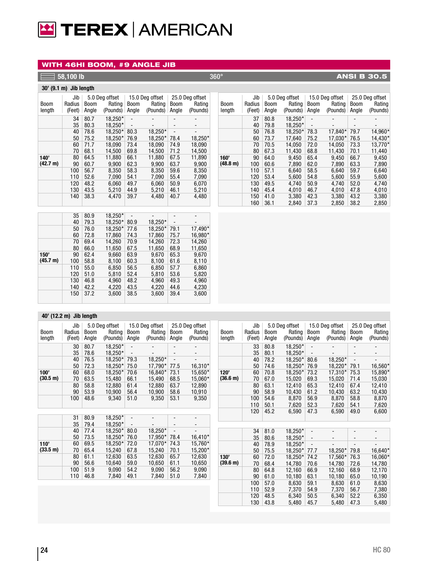# TEREX | AMERICAN

#### WITH 46HI BOOM, #9 ANGLE JIB

## **1**  $\overline{58,100}$  lb  $\overline{360^\circ}$   $\overline{360^\circ}$   $\overline{48,100}$  B 30.5

#### **30' (9.1 m) Jib length**

| <b>Boom</b><br>length | Jib<br>Radius<br><b>Boom</b><br>(Feet)<br>Angle |      | 5.0 Deg offset<br>Rating<br>(Pounds) | 15.0 Deg offset<br>Rating<br><b>Boom</b><br>(Pounds)<br>Angle |         | <b>Boom</b><br>Angle | 25.0 Deg offset<br>Rating<br>(Pounds) |
|-----------------------|-------------------------------------------------|------|--------------------------------------|---------------------------------------------------------------|---------|----------------------|---------------------------------------|
|                       |                                                 |      |                                      |                                                               |         |                      |                                       |
|                       | 34                                              | 80.7 | 18.250*                              |                                                               |         |                      |                                       |
|                       | 35                                              | 80.3 | 18.250*                              | $\overline{\phantom{a}}$                                      |         |                      |                                       |
|                       | 40                                              | 78.6 | 18,250*                              | 80.3                                                          | 18,250* |                      |                                       |
|                       | 50                                              | 75.2 | 18,250*                              | 76.9                                                          | 18,250* | 78.4                 | 18,250*                               |
|                       | 60                                              | 71.7 | 18.090                               | 73.4                                                          | 18.090  | 74.9                 | 18,090                                |
|                       | 70                                              | 68.1 | 14,500                               | 69.8                                                          | 14.500  | 71.2                 | 14,500                                |
| 140'                  | 80                                              | 64.5 | 11.880                               | 66.1                                                          | 11.880  | 67.5                 | 11.890                                |
| (42.7 m)              | 90                                              | 60.7 | 9.900                                | 62.3                                                          | 9.900   | 63.7                 | 9,900                                 |
|                       | 100                                             | 56.7 | 8.350                                | 58.3                                                          | 8.350   | 59.6                 | 8.350                                 |
|                       | 110                                             | 52.6 | 7,090                                | 54.1                                                          | 7,090   | 55.4                 | 7,090                                 |
|                       | 120                                             | 48.2 | 6.060                                | 49.7                                                          | 6.060   | 50.9                 | 6.070                                 |
|                       | 130                                             | 43.5 | 5.210                                | 44.9                                                          | 5.210   | 46.1                 | 5,210                                 |
|                       | 140                                             | 38.3 | 4.470                                | 39.7                                                          | 4,480   | 40.7                 | 4,480                                 |

|          | 35  | 80.9 | 18,250* |      |         |      |         |
|----------|-----|------|---------|------|---------|------|---------|
|          | 40  | 79.3 | 18,250* | 80.9 | 18,250* |      |         |
|          | 50  | 76.0 | 18,250* | 77.6 | 18,250* | 79.1 | 17,490* |
|          | 60  | 72.8 | 17.860  | 74.3 | 17.860  | 75.7 | 16,980* |
|          | 70  | 69.4 | 14,260  | 70.9 | 14,260  | 72.3 | 14,260  |
|          | 80  | 66.0 | 11.650  | 67.5 | 11.650  | 68.9 | 11,650  |
| 150'     | 90  | 62.4 | 9.660   | 63.9 | 9.670   | 65.3 | 9.670   |
| (45.7 m) | 100 | 58.8 | 8,100   | 60.3 | 8,100   | 61.6 | 8,110   |
|          | 110 | 55.0 | 6,850   | 56.5 | 6,850   | 57.7 | 6,860   |
|          | 120 | 51.0 | 5.810   | 52.4 | 5,810   | 53.6 | 5,820   |
|          | 130 | 46.8 | 4,960   | 48.2 | 4,960   | 49.3 | 4,960   |
|          | 140 | 42.2 | 4,220   | 43.5 | 4,220   | 44.6 | 4,230   |
|          | 150 | 37.2 | 3,600   | 38.5 | 3,600   | 39.4 | 3,600   |
|          |     |      |         |      |         |      |         |

#### Jib | 5.0 Deg offset | 15.0 Deg offset | 25.0 Deg offset Boom Radius Boom Rating Boom Rating Boom Rating<br>
Iength (Feet) Angle (Pounds) Angle (Pounds) Angle (Pounds)  $\frac{1}{\sqrt{2}}$  (Feet) Angle (Pounds) Angle (Pounds) Angle **160' (48.8 m)** 37 40 79.8 50 76.8 60 70 80  $90$ 100 110 120 130 140 150 41.0 160 36.1  $80.8$   $18,250^*$  - - - - - $79.8$   $18,250^*$  - - - - -76.8 18,250\* 78.3 17,840\* 79.7 14,960 73.7 17,640 75.2 17,030 76.5 14,430 \* 70.5 14,050 72.0 14,050 73.3 13,770 67.3 11,430 68.8 11,430 70.1 11,440 9,450 60.6 7,890 62.0 7,890 63.3 7,890 57.1 6,640 58.5 6,640 59.7 6,640 53.4 5,600 54.8 5,600 55.9 5,600 49.5 4,740 50.9 4,740 52.0<br>45.4 4,010 46.7 4,010 47.8 4,010 46.7 4,010 47.8 4,010<br>3,380 42.3 3,380 43.2 3,380 3,380 43.2 3,380<br>2,850 38.2 2,850 36.1 2,840 37.3 2,850 38.2 2,850 14,960\* 14,430\* 13,770\*

#### **40' (12.2 m) Jib length**

| <b>Boom</b>        | Jib<br>Radius | Boom  | 5.0 Deg offset<br>Rating | Boom                         | 15.0 Deg offset<br>Rating | <b>Boom</b>              | 25.0 Deg offset<br>Rating | Boom     | Jib<br>Radius | <b>Boom</b> | 5.0 Deg offset<br>Rating | <b>Boom</b>              | 15.0 Deg offset<br>Rating | <b>Boom</b>              | 25.0 Deg offset<br>Rating |
|--------------------|---------------|-------|--------------------------|------------------------------|---------------------------|--------------------------|---------------------------|----------|---------------|-------------|--------------------------|--------------------------|---------------------------|--------------------------|---------------------------|
| length             | (Feet)        | Angle | (Pounds)                 | Angle                        | (Pounds)                  | Angle                    | (Pounds)                  | length   | (Feet)        | Angle       | (Pounds)                 | Angle                    | (Pounds)                  | Angle                    | (Pounds)                  |
|                    | 30            | 80.7  | 18,250*                  | $\overline{\phantom{a}}$     |                           |                          |                           |          | 33            | 80.8        | 18,250*                  |                          |                           | $\overline{a}$           |                           |
|                    | 35            | 78.6  | 18,250*                  | $\overline{\phantom{a}}$     |                           | $\overline{\phantom{a}}$ | $\overline{\phantom{a}}$  |          | 35            | 80.1        | 18,250*                  |                          |                           | $\overline{\phantom{a}}$ |                           |
|                    | 40            | 76.5  | 18,250*                  | 79.3                         | 18,250*                   |                          |                           |          | 40            | 78.2        | 18,250*                  | 80.6                     | 18,250*                   |                          |                           |
|                    | 50            | 72.3  | 18,250*                  | 75.0                         | 17,790*                   | 77.5                     | 16,310*                   |          | 50            | 74.6        | 18,250*                  | 76.9                     | 18,220*                   | 79.1                     | 16,560*                   |
| 100'               | 60            | 68.0  | 18,250*                  | 70.6                         | 16,840*                   | 73.1                     | 15,650*                   | 120'     | 60            | 70.8        | 18,250*                  | 73.2                     | 17,310*                   | 75.3                     | 15,890*                   |
| (30.5 m)           | 70            | 63.5  | 15,480                   | 66.1                         | 15,490                    | 68.5                     | 15,060*                   | (36.6 m) | 70            | 67.0        | 15,020                   | 69.3                     | 15,020                    | 71.4                     | 15,030                    |
|                    | 80            | 58.8  | 12,880                   | 61.4                         | 12,880                    | 63.7                     | 12,890                    |          | 80            | 63.1        | 12,410                   | 65.3                     | 12,410                    | 67.4                     | 12,410                    |
|                    | 90            | 53.9  | 10,900                   | 56.4                         | 10,900                    | 58.6                     | 10,910                    |          | 90            | 58.9        | 10,430                   | 61.2                     | 10,430                    | 63.2                     | 10,430                    |
|                    | 100           | 48.6  | 9,340                    | 51.0                         | 9,350                     | 53.1                     | 9,350                     |          | 100           | 54.6        | 8,870                    | 56.9                     | 8,870                     | 58.8                     | 8,870                     |
|                    |               |       |                          |                              |                           |                          |                           |          | 110           | 50.1        | 7,620                    | 52.3                     | 7,620                     | 54.1                     | 7,620                     |
|                    |               |       |                          |                              |                           |                          |                           |          | 120           | 45.2        | 6,590                    | 47.3                     | 6,590                     | 49.0                     | 6,600                     |
|                    | 31            | 80.9  | 18,250*                  | $\qquad \qquad \blacksquare$ |                           |                          |                           |          |               |             |                          |                          |                           |                          |                           |
|                    | 35            | 79.4  | 18,250*                  |                              |                           |                          | $\overline{\phantom{a}}$  |          |               |             |                          |                          |                           |                          |                           |
|                    | 40            | 77.4  | 18,250*                  | 80.0                         | 18,250*                   | $\overline{\phantom{a}}$ |                           |          | 34            | 81.0        | 18,250*                  |                          |                           | $\overline{a}$           |                           |
|                    | 50            | 73.5  | 18,250*                  | 76.0                         | 17,950*                   | 78.4                     | $16,410*$                 |          | 35            | 80.6        | 18,250*                  | $\overline{\phantom{a}}$ |                           | $\overline{\phantom{0}}$ |                           |
| 110'               | 60            | 69.5  | 18,250*                  | 72.0                         | 17,070*                   | 74.3                     | 15,760*                   |          | 40            | 78.9        | 18,250*                  |                          |                           |                          |                           |
| $(33.5 \text{ m})$ | 70            | 65.4  | 15,240                   | 67.8                         | 15,240                    | 70.1                     | 15,200*                   |          | 50            | 75.5        | 18,250*                  | 77.7                     | 18,250*                   | 79.8                     | 16,640*                   |
|                    | 80            | 61.1  | 12,630                   | 63.5                         | 12,630                    | 65.7                     | 12,630                    | 130'     | 60            | 72.0        | 18,250*                  | 74.2                     | 17,560*                   | 76.3                     | 16,060*                   |
|                    | 90            | 56.6  | 10,640                   | 59.0                         | 10,650                    | 61.1                     | 10,650                    | (39.6 m) | 70            | 68.4        | 14,780                   | 70.6                     | 14,780                    | 72.6                     | 14,780                    |
|                    | 100           | 51.9  | 9,090                    | 54.2                         | 9,090                     | 56.2                     | 9,090                     |          | 80            | 64.8        | 12,160                   | 66.9                     | 12,160                    | 68.9                     | 12,170                    |
|                    | 110           | 46.8  | 7,840                    | 49.1                         | 7,840                     | 51.0                     | 7,840                     |          | 90            | 61.0        | 10,180                   | 63.1                     | 10,180                    | 65.0                     | 10,190                    |
|                    |               |       |                          |                              |                           |                          |                           |          | 100           | 57.0        | 8,630                    | 59.1                     | 8,630                     | 61.0                     | 8,630                     |
|                    |               |       |                          |                              |                           |                          |                           |          | 110           | 52.9        | 7,370                    | 54.9                     | 7,370                     | 56.7                     | 7,380                     |
|                    |               |       |                          |                              |                           |                          |                           |          | 120           | 48.5        | 6,340                    | 50.5                     | 6,340                     | 52.2                     | 6,350                     |
|                    |               |       |                          |                              |                           |                          |                           |          |               |             |                          |                          |                           |                          |                           |

130 43.8

43.8 5,480 45.7 5,480 47.3 5,480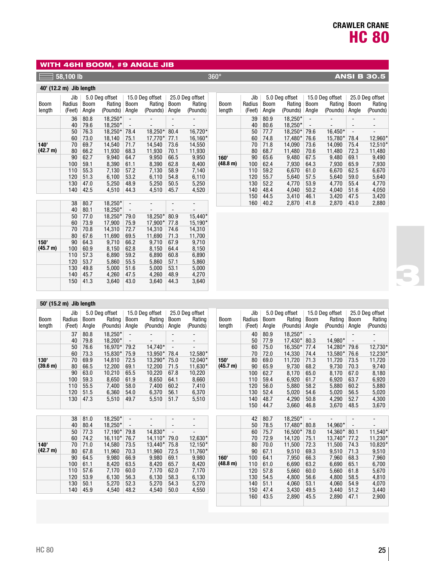## WITH 46HI BOOM, #9 ANGLE JIB

## **58,100 lb** 360° **ANSI B 30.5**

## **40' (12.2 m) Jib length**

| <b>Boom</b><br>length | Jib<br>Radius<br>(Feet) | Boom<br>Angle | 5.0 Deg offset<br>Rating<br>(Pounds) | <b>Boom</b><br>Angle     | 15.0 Deg offset<br>Rating<br>(Pounds) | <b>Boom</b><br>Angle | 25.0 Deg offset<br>Rating<br>(Pounds) |
|-----------------------|-------------------------|---------------|--------------------------------------|--------------------------|---------------------------------------|----------------------|---------------------------------------|
|                       | 36                      | 80.8          | 18,250*                              | $\overline{\phantom{0}}$ |                                       |                      |                                       |
|                       | 40                      | 79.6          | 18.250*                              |                          |                                       |                      |                                       |
|                       | 50                      | 76.3          | 18.250*                              | 78.4                     | 18,250*                               | 80.4                 | 16,720*                               |
|                       | 60                      | 73.0          | 18.140                               | 75.1                     | 17.770*                               | 77.1                 | 16,160*                               |
| 140'                  | 70                      | 69.7          | 14.540                               | 71.7                     | 14.540                                | 73.6                 | 14,550                                |
| (42.7 m)              | 80                      | 66.2          | 11.930                               | 68.3                     | 11.930                                | 70.1                 | 11,930                                |
|                       | 90                      | 62.7          | 9.940                                | 64.7                     | 9.950                                 | 66.5                 | 9,950                                 |
|                       | 100                     | 59.1          | 8.390                                | 61.1                     | 8.390                                 | 62.8                 | 8.400                                 |
|                       | 110                     | 55.3          | 7.130                                | 57.2                     | 7.130                                 | 58.9                 | 7.140                                 |
|                       | 120                     | 51.3          | 6,100                                | 53.2                     | 6,110                                 | 54.8                 | 6,110                                 |
|                       | 130                     | 47.0          | 5,250                                | 48.9                     | 5.250                                 | 50.5                 | 5,250                                 |
|                       | 140                     | 42.5          | 4.510                                | 44.3                     | 4.510                                 | 45.7                 | 4.520                                 |

|          | 38  | 80.7 | 18,250* |      |         |      |         |
|----------|-----|------|---------|------|---------|------|---------|
|          | 40  | 80.1 | 18,250* |      |         |      |         |
|          | 50  | 77.0 | 18,250* | 79.0 | 18,250* | 80.9 | 15,440* |
|          | 60  | 73.9 | 17,900  | 75.9 | 17,900* | 77.8 | 15,190* |
|          | 70  | 70.8 | 14,310  | 72.7 | 14,310  | 74.6 | 14,310  |
|          | 80  | 67.6 | 11.690  | 69.5 | 11.690  | 71.3 | 11,700  |
| 150'     | 90  | 64.3 | 9,710   | 66.2 | 9.710   | 67.9 | 9,710   |
| (45.7 m) | 100 | 60.9 | 8,150   | 62.8 | 8,150   | 64.4 | 8,150   |
|          | 110 | 57.3 | 6,890   | 59.2 | 6,890   | 60.8 | 6,890   |
|          | 120 | 53.7 | 5.860   | 55.5 | 5,860   | 57.1 | 5,860   |
|          | 130 | 49.8 | 5,000   | 51.6 | 5,000   | 53.1 | 5,000   |
|          | 140 | 45.7 | 4,260   | 47.5 | 4,260   | 48.9 | 4,270   |
|          | 150 | 41.3 | 3,640   | 43.0 | 3,640   | 44.3 | 3,640   |

|             | Jib    |             | 5.0 Deg offset |                              | 15.0 Deg offset |             | 25.0 Deg offset |
|-------------|--------|-------------|----------------|------------------------------|-----------------|-------------|-----------------|
| <b>Boom</b> | Radius | <b>Boom</b> | Rating         | <b>Boom</b>                  | Rating          | <b>Boom</b> | Rating          |
| length      | (Feet) | Angle       | (Pounds)       | Angle                        | (Pounds)        | Angle       | (Pounds)        |
|             | 39     | 80.9        | 18.250*        |                              |                 |             |                 |
|             | 40     | 80.6        | 18.250*        | $\qquad \qquad \blacksquare$ |                 |             |                 |
|             | 50     | 77.7        | 18.250*        | 79.6                         | 16,450*         |             |                 |
|             | 60     | 74.8        | 17,480*        | 76.6                         | 15.780*         | 78.4        | 12,960*         |
|             | 70     | 71.8        | 14.090         | 73.6                         | 14.090          | 75.4        | 12,510*         |
|             | 80     | 68.7        | 11.480         | 70.6                         | 11.480          | 72.3        | 11,480          |
| 160'        | 90     | 65.6        | 9.480          | 67.5                         | 9.480           | 69.1        | 9.490           |
| (48.8 m)    | 100    | 62.4        | 7.930          | 64.3                         | 7.930           | 65.9        | 7,930           |
|             | 110    | 59.2        | 6.670          | 61.0                         | 6.670           | 62.5        | 6,670           |
|             | 120    | 55.7        | 5,640          | 57.5                         | 5.640           | 59.0        | 5,640           |
|             | 130    | 52.2        | 4.770          | 53.9                         | 4.770           | 55.4        | 4,770           |
|             | 140    | 48.4        | 4.040          | 50.2                         | 4.040           | 51.6        | 4.050           |
|             | 150    | 44.5        | 3.410          | 46.1                         | 3.420           | 47.5        | 3,420           |
|             | 160    | 40.2        | 2,870          | 41.8                         | 2,870           | 43.0        | 2,880           |

| 50' (15.2 m) Jib length |
|-------------------------|
|                         |

|             | Jib    |       | 5.0 Deg offset |                              | 15.0 Deg offset |                          | 25.0 Deg offset          |             | Jib    |             | 5.0 Deg offset |                          | 15.0 Deg offset |                          | 25.0 Deg offset          |
|-------------|--------|-------|----------------|------------------------------|-----------------|--------------------------|--------------------------|-------------|--------|-------------|----------------|--------------------------|-----------------|--------------------------|--------------------------|
| <b>Boom</b> | Radius | Boom  | Rating         | <b>Boom</b>                  | Rating          | <b>Boom</b>              | Rating                   | <b>Boom</b> | Radius | <b>Boom</b> | Rating         | Boom                     | Rating          | <b>Boom</b>              | Rating                   |
| length      | (Feet) | Angle | (Pounds)       | Angle                        | (Pounds)        | Angle                    | (Pounds)                 | length      | (Feet) | Angle       | (Pounds)       | Angle                    | (Pounds)        | Angle                    | (Pounds)                 |
|             | 37     | 80.8  | 18,250*        |                              |                 |                          |                          |             | 40     | 80.9        | 18,250*        |                          |                 | $\overline{\phantom{a}}$ |                          |
|             | 40     | 79.8  | 18,200*        |                              |                 |                          |                          |             | 50     | 77.9        | 17,430*        | 80.3                     | 14,980*         | $\overline{\phantom{a}}$ |                          |
|             | 50     | 76.6  | 16,970*        | 79.2                         | 14,740*         | $\overline{a}$           |                          |             | 60     | 75.0        | 16,350*        | 77.4                     | 14,280*         | 79.6                     | 12,730*                  |
|             | 60     | 73.3  | 15,830*        | 75.9                         | 13,950*         | 78.4                     | 12,580*                  |             | 70     | 72.0        | 14,330         | 74.4                     | 13,580*         | 76.6                     | 12,230*                  |
| 130'        | 70     | 69.9  | 14,810         | 72.5                         | 13,290*         | 75.0                     | 12,040*                  | 150'        | 80     | 69.0        | 11.720         | 71.3                     | 11,720          | 73.5                     | 11,720                   |
| (39.6 m)    | 80     | 66.5  | 12,200         | 69.1                         | 12,200          | 71.5                     | 11,630*                  | (45.7 m)    | 90     | 65.9        | 9,730          | 68.2                     | 9,730           | 70.3                     | 9,740                    |
|             | 90     | 63.0  | 10,210         | 65.5                         | 10,220          | 67.8                     | 10,220                   |             | 100    | 62.7        | 8.170          | 65.0                     | 8,170           | 67.0                     | 8,180                    |
|             | 100    | 59.3  | 8,650          | 61.9                         | 8,650           | 64.1                     | 8,660                    |             | 110    | 59.4        | 6,920          | 61.7                     | 6,920           | 63.7                     | 6,920                    |
|             | 110    | 55.5  | 7,400          | 58.0                         | 7,400           | 60.2                     | 7,410                    |             | 120    | 56.0        | 5,880          | 58.2                     | 5,880           | 60.2                     | 5,880                    |
|             | 120    | 51.5  | 6,360          | 54.0                         | 6,370           | 56.1                     | 6,370                    |             | 130    | 52.4        | 5.020          | 54.6                     | 5.020           | 56.5                     | 5,020                    |
|             | 130    | 47.3  | 5,510          | 49.7                         | 5,510           | 51.7                     | 5,510                    |             | 140    | 48.7        | 4,290          | 50.8                     | 4,290           | 52.7                     | 4,300                    |
|             |        |       |                |                              |                 |                          |                          |             | 150    | 44.7        | 3,660          | 46.8                     | 3,670           | 48.5                     | 3,670                    |
|             |        |       |                |                              |                 |                          |                          |             |        |             |                |                          |                 |                          |                          |
|             | 38     | 81.0  | 18,250*        |                              |                 |                          |                          |             | 42     | 80.7        | 18,250*        | $\overline{\phantom{a}}$ |                 | $\overline{\phantom{a}}$ | $\overline{\phantom{a}}$ |
|             | 40     | 80.4  | 18,250*        | $\qquad \qquad \blacksquare$ |                 | $\overline{\phantom{a}}$ | $\overline{\phantom{a}}$ |             | 50     | 78.5        | 17,480*        | 80.8                     | 14,960*         | $\overline{\phantom{a}}$ |                          |
|             | 50     | 77.3  | 17,190*        | 79.8                         | 14,830*         | $\overline{\phantom{a}}$ |                          |             | 60     | 75.7        | 16,500*        | 78.0                     | 14,360*         | 80.1                     | 11,540*                  |
|             | 60     | 74.2  | 16,110*        | 76.7                         | 14,110*         | 79.0                     | 12,630*                  |             | 70     | 72.9        | 14,120         | 75.1                     | 13,740*         | 77.2                     | 11,230*                  |
| 140'        | 70     | 71.0  | 14,580         | 73.5                         | 13,440*         | 75.8                     | 12,150*                  |             | 80     | 70.0        | 11,500         | 72.3                     | 11,500          | 74.3                     | 10,820*                  |
| (42.7 m)    | 80     | 67.8  | 11,960         | 70.3                         | 11,960          | 72.5                     | 11,760*                  |             | 90     | 67.1        | 9,510          | 69.3                     | 9,510           | 71.3                     | 9,510                    |
|             | 90     | 64.5  | 9,980          | 66.9                         | 9,980           | 69.1                     | 9,980                    | 160'        | 100    | 64.1        | 7,950          | 66.3                     | 7,960           | 68.3                     | 7,960                    |
|             | 100    | 61.1  | 8,420          | 63.5                         | 8,420           | 65.7                     | 8,420                    | (48.8 m)    | 110    | 61.0        | 6,690          | 63.2                     | 6,690           | 65.1                     | 6,700                    |
|             | 110    | 57.6  | 7,170          | 60.0                         | 7,170           | 62.0                     | 7,170                    |             | 120    | 57.8        | 5,660          | 60.0                     | 5,660           | 61.8                     | 5,670                    |
|             | 120    | 53.9  | 6,130          | 56.3                         | 6,130           | 58.3                     | 6,130                    |             | 130    | 54.5        | 4,800          | 56.6                     | 4,800           | 58.5                     | 4,810                    |
|             | 130    | 50.1  | 5,270          | 52.3                         | 5,270           | 54.3                     | 5,270                    |             | 140    | 51.1        | 4,060          | 53.1                     | 4,060           | 54.9                     | 4,070                    |
|             | 140    | 45.9  | 4,540          | 48.2                         | 4,540           | 50.0                     | 4,550                    |             | 150    | 47.4        | 3,430          | 49.5                     | 3,440           | 51.2                     | 3,440                    |
|             |        |       |                |                              |                 |                          |                          |             | 160    | 43.5        | 2,890          | 45.5                     | 2,890           | 47.1                     | 2,900                    |
|             |        |       |                |                              |                 |                          |                          |             |        |             |                |                          |                 |                          |                          |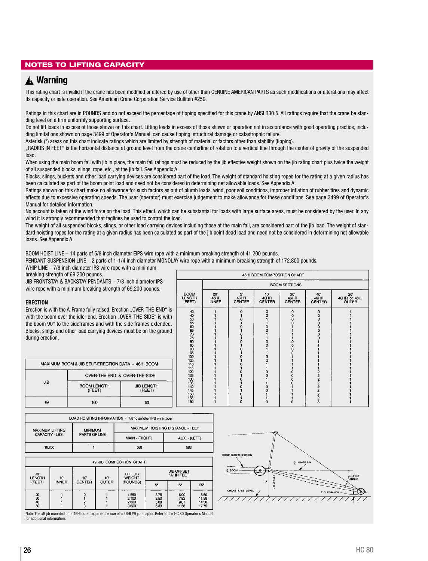## NOTES TO LIFTING CAPACITY

## **Warning** ▲**!**

This rating chart is invalid if the crane has been modified or altered by use of other than GENUINE AMERICAN PARTS as such modifications or alterations may affect its capacity or safe operation. See American Crane Corporation Service Bulliten #259.

Ratings in this chart are in POUNDS and do not exceed the percentage of tipping specified for this crane by ANSI B30.5. All ratings require that the crane be standing level on a firm uniformly supporting surface.

Do not lift loads in excess of those shown on this chart. Lifting loads in excess of those shown or operation not in accordance with good operating practice, including limitations shown on page 3499 of Operator's Manual, can cause tipping, structural damage or catastrophic failure.

Asterisk (\*) areas on this chart indicate ratings which are limited by strength of material or factors other than stability (tipping).

"RADIUS IN FEET" is the horizontal distance at ground level from the crane centerline of rotation to a vertical line through the center of gravity of the suspended load.

When using the main boom fall with jib in place, the main fall ratings must be reduced by the jib effective weight shown on the jib rating chart plus twice the weight of all suspended blocks, slings, rope, etc., at the jib fall. See Appendix A.

Blocks, slings, buckets and other load carrying devices are considered part of the load. The weight of standard hoisting ropes for the rating at a given radius has been calculated as part of the boom point load and need not be considered in determining net allowable loads. See Appendix A.

Ratings shown on this chart make no allowance for such factors as out of plumb loads, wind, poor soil conditions, improper inflation of rubber tires and dynamic effects due to excessive operating speeds. The user (operator) must exercise judgement to make allowance for these conditions. See page 3499 of Operator's Manual for detailed information.

No account is taken of the wind force on the load. This effect, which can be substantial for loads with large surface areas, must be considered by the user. In any wind it is strongly recommended that taglines be used to control the load.

The weight of all suspended blocks, slings, or other load carrying devices including those at the main fall, are considered part of the jib load. The weight of standard hoisting ropes for the rating at a given radius has been calculated as part of the jib point dead load and need not be considered in determining net allowable loads. See Appendix A.

BOOM HOIST LINE – 14 parts of 5/8 inch diameter EIPS wire rope with a minimum breaking strength of 41,200 pounds.

PENDANT SUSPENSION LINE – 2 parts of 1-1/4 inch diameter MONOLAY wire rope with a minimum breaking strength of 172,800 pounds.

WHIP LINE - 7/8 inch diameter IPS wire rope with a minimum

breaking strength of 69,200 pounds.

JIB FRONTSTAY & BACKSTAY PENDANTS – 7/8 inch diameter IPS wire rope with a minimum breaking strength of 69,200 pounds.

#### **ERECTION**

Erection is with the A-Frame fully raised. Erection "OVER-THE-END" is with the boom over the idler end. Erection ..OVER-THE-SIDE" is with the boom 90° to the sideframes and with the side frames extended. Blocks, slings and other load carrying devices must be on the ground during erection.

|                                 |                           |                                           | 46HI BOOM COMPOSITION CHART                                                   |                                                                                       |                                |                                              |
|---------------------------------|---------------------------|-------------------------------------------|-------------------------------------------------------------------------------|---------------------------------------------------------------------------------------|--------------------------------|----------------------------------------------|
|                                 |                           |                                           |                                                                               | <b>BOOM SECTIONS</b>                                                                  |                                |                                              |
| <b>BOOM</b><br>LENGTH<br>(FEET) | 20<br>46H<br><b>INNER</b> | 5'<br>46HR<br>CENTER                      | 10'<br>46HR<br><b>CENTER</b>                                                  | 20<br>46HR<br><b>CENTER</b>                                                           | 40<br>46HR<br><b>CENTER</b>    | $20^{\circ}$<br>46HR or 46HI<br><b>OUTER</b> |
|                                 |                           | 0<br>п<br>o<br>0<br>Ω<br>o<br>n<br>n<br>Ô | 0<br>n<br>O<br>Ò<br>o<br>ი<br>$\frac{0}{0}$<br>1<br>$\frac{0}{0}$<br>$\Omega$ | 0<br>$\tilde{0}$<br>$\begin{smallmatrix}0\0\0\end{smallmatrix}$<br>$\frac{0}{0}$<br>Ò | 0<br>000000<br>O<br>ผมผมผมพบพบ |                                              |

|            | MAXIMUM BOOM & JIB SELF-ERECTION DATA - 46HI BOOM |                             | 10051115202530354045505160 |
|------------|---------------------------------------------------|-----------------------------|----------------------------|
|            | OVER-THE END & OVER-THE-SIDE                      |                             |                            |
| <b>JIB</b> | <b>BOOM LENGTH</b><br>(FEET)                      | <b>JIB LENGTH</b><br>(FEET) |                            |
| #9         | 160                                               | 50                          |                            |
|            |                                                   |                             |                            |

|                        | LOAD HOISTING INFORMATION - 778" diameter IPS wire rope |                                  |               |  |  |  |  |  |  |
|------------------------|---------------------------------------------------------|----------------------------------|---------------|--|--|--|--|--|--|
| <b>MAXIMUM LIFTING</b> | <b>MINIMUM</b>                                          | MAXIMUM HOISTING DISTANCE - FEET |               |  |  |  |  |  |  |
| CAPACITY - LBS.        | PARTS OF LINE                                           | MAIN - (RIGHT)                   | AUX. - (LEFT) |  |  |  |  |  |  |
| 18.250                 |                                                         | 588                              | 588           |  |  |  |  |  |  |

|                             | #9 JIB COMPOSITION CHART |               |              |                                  |                                  |                               |                                 |  |
|-----------------------------|--------------------------|---------------|--------------|----------------------------------|----------------------------------|-------------------------------|---------------------------------|--|
| <b>JIB</b><br><b>LENGTH</b> | 10'                      | 10'           | 10'          | EFF. JIB<br><b>WEIGHT</b>        | <b>JIB OFFSET</b><br>"A" IN FEET |                               |                                 |  |
| (FEET)                      | <b>INNER</b>             | <b>CENTER</b> | <b>OUTER</b> | (POUNDS)                         | $5^\circ$                        | $15^\circ$                    | $25^\circ$                      |  |
| 8898                        |                          | $\frac{2}{3}$ |              | 1,550<br>2.100<br>2,800<br>3,600 | 3.75<br>3.50<br>5.08<br>5.33     | 6.00<br>7.83<br>9.67<br>11.58 | 8.50<br>11.58<br>14.50<br>17.75 |  |

Note: The #9 jib mounted on a 46HI outer requires the use of a 46HI #9 jib adaptor. Refer to the HC 80 Operator's Manual for additional information.

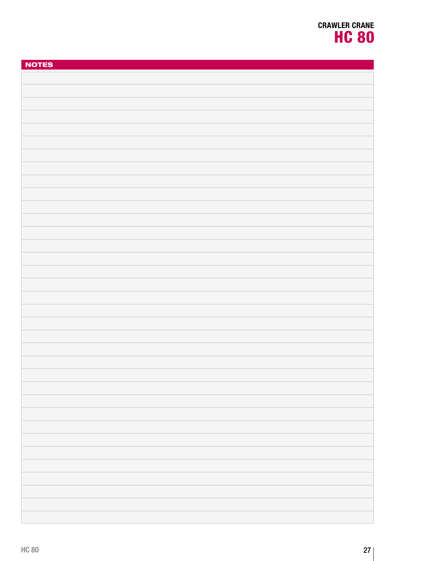| <b>NOTES</b> |
|--------------|
|              |
|              |
|              |
|              |
|              |
|              |
|              |
|              |
|              |
|              |
|              |
|              |
|              |
|              |
|              |
|              |
|              |
|              |
|              |
|              |
|              |
|              |
|              |
|              |
|              |
|              |
|              |
|              |
|              |
|              |
|              |
|              |
|              |
|              |
|              |
|              |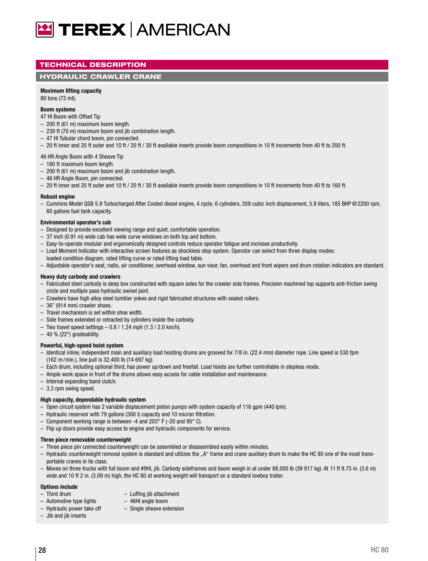

## TECHNICAL DESCRIPTION

#### HYDRAULIC CRAWLER CRANE

#### **Maximum lifting capacity**

80 tons (73 mt).

#### **Boom systems**

47 HI Boom with Offset Tip

- 200 ft (61 m) maximum boom length.
- 230 ft (70 m) maximum boom and jib combination length.
- 47 HI Tubular chord boom, pin connected.
- 20 ft inner and 20 ft outer and 10 ft / 20 ft / 30 ft available inserts provide boom compositions in 10 ft increments from 40 ft to 200 ft.

#### 46 HR Angle Boom with 4 Sheave Tip

- 160 ft maximum boom length.
- 200 ft (61 m) maximum boom and jib combination length.
- 46 HR Angle Boom, pin connected.
- 20 ft inner and 20 ft outer and 10 ft / 20 ft / 30 ft available inserts provide boom compositions in 10 ft increments from 40 ft to 160 ft.

#### **Robust engine**

– Cummins Model QSB 5.9 Turbocharged After Cooled diesel engine, 4 cycle, 6 cylinders, 359 cubic inch displacement, 5.9 liters, 185 BHP @2200 rpm, 60 gallons fuel tank capacity.

#### **Environmental operator's cab**

- Designed to provide excellent viewing range and quiet, comfortable operation.
- 37 inch (0.91 m) wide cab has wide curve windows on both top and bottom.
- Easy-to-operate modular and ergonomically designed controls reduce operator fatigue and increase productivity.
- Load Moment Indicator with interactive screen features as shockless stop system. Operator can select from three display modes:
- loaded condition diagram, rated lifting curve or rated lifting load table.
- Adjustable operator's seat, radio, air conditioner, overhead window, sun visor, fan, overhead and front wipers and drum rotation indicators are standard.

#### **Heavy duty carbody and crawlers**

- Fabricated steel carbody is deep box constructed with square axles for the crawler side frames. Precision machined top supports anti-friction swing circle and multiple pass hydraulic swivel joint.
- Crawlers have high alloy steel tumbler yokes and rigid fabricated structures with sealed rollers.
- 36" (914 mm) crawler shoes.
- Travel mechanism is set within shoe width.
- Side frames extended or retracted by cylinders inside the carbody.
- Two travel speed settings 0.8 / 1.24 mph (1.3 / 2.0 km/h).
- $-40$  % (22 $^{\circ}$ ) gradeability.

## **Powerful, high-speed hoist system**

- Identical inline, independent main and auxiliary load hoisting drums are grooved for 7/8 in. (22.4 mm) diameter rope. Line speed is 530 fpm (162 m /min.), line pull is 32,400 lb (14 697 kg).
- Each drum, including optional third, has power up/down and freefall. Load hoists are further controllable in stepless mode.
- Ample work space in front of the drums allows easy access for cable installation and maintenance.
- Internal expanding band clutch.
- 3.3 rpm swing speed.

#### **High capacity, dependable hydraulic system**

- Open circuit system has 2 variable displacement piston pumps with system capacity of 116 gpm (440 lpm).
- Hydraulic reservoir with 79 gallons (300 l) capacity and 10 micron filtration.
- Component working range is between -4 and 203° F (-20 and 95° C).
- Flip up doors provide easy access to engine and hydraulic components for service.

#### **Three piece removable counterweight**

- Three piece pin connected counterweight can be assembled or disassembled easily within minutes.
- Hydraulic counterweight removal system is standard and utilizes the "A" frame and crane auxiliary drum to make the HC 80 one of the most transportable cranes in its class.
- Moves on three trucks with full boom and #9HL jib. Carbody sideframes and boom weigh in at under 88,000 lb (39 917 kg). At 11 ft 9.75 in. (3.6 m) wide and 10 ft 2 in. (3.09 m) high, the HC 80 at working weight will transport on a standard lowboy trailer.

#### **Options include**

- 
- Third drum Luffing jib attachment
- Automotive type lights 46HI angle boom
- Hydraulic power take off Single sheave extension
- Jib and jib inserts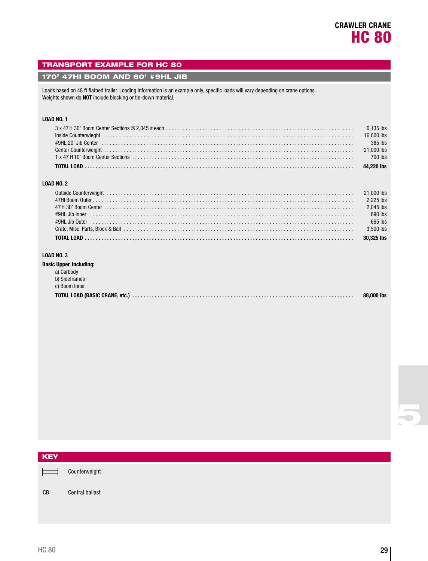### TRANSPORT EXAMPLE FOR HC 80

#### 170' 47HI BOOM AND 60' #9HL JIB

Loads based on 48 ft flatbed trailer. Loading information is an example only, specific loads will vary depending on crane options. Weights shown do **NOT** include blocking or tie-down material.

#### **LOAD NO. 1**

| Inside Counterwieght (and according to the counterwise of the counterwise of the counterwise of the counterwise of the counterwise of the counterwise of the counterwise of the counterwise of the counterwise of the counterw |  |
|--------------------------------------------------------------------------------------------------------------------------------------------------------------------------------------------------------------------------------|--|
|                                                                                                                                                                                                                                |  |
|                                                                                                                                                                                                                                |  |
|                                                                                                                                                                                                                                |  |
|                                                                                                                                                                                                                                |  |

#### **LOAD NO. 2**

| Outside Counterweight National Communication (21,000 lbs) and the control of the control of the counterweight |           |
|---------------------------------------------------------------------------------------------------------------|-----------|
|                                                                                                               |           |
|                                                                                                               | 2,045 lbs |
|                                                                                                               | 890 lbs   |
|                                                                                                               | 665 lbs   |
|                                                                                                               | 3.500 lbs |
|                                                                                                               |           |

#### **LOAD NO. 3**

| <b>Basic Upper, including:</b> |            |
|--------------------------------|------------|
| a) Carbody                     |            |
| b) Sideframes                  |            |
| c) Boom Inner                  |            |
|                                | 88,000 lbs |

| <b>KEY</b> |                        |
|------------|------------------------|
|            | Counterweight          |
| CB         | <b>Central ballast</b> |
|            |                        |